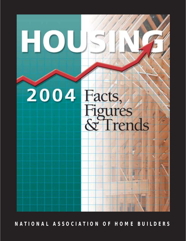

**NATIONAL ASSOCIATION OF HOME BUILDERS**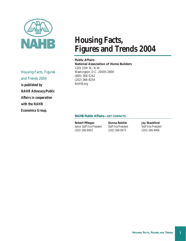

#### Housing Facts, Figures and Trends 2004

*is published by* 

*NAHB Advocacy/Public*

*Affairs in cooperation*

*with the NAHB*

*Economics Group.*

# **Housing Facts, Figures and Trends 2004**

#### **Public Affairs**

**National Association of Home Builders**  1201 15th St., N.W. Washington, D.C. 20005-2800 (800) 368-5242 (202) 266-8254 NAHB.org

#### **NAHB Public Affairs—KEY CONTACTS**

**Robert Pflieger** *Senior Staff Vice President* (202) 266-8403

**Donna Reichle** *Staff Vice President* (202) 266-8473

**Jay Shackford** *Staff Vice President* (202) 266-8406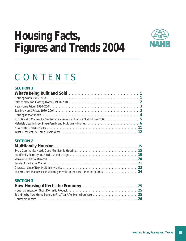# **Housing Facts, Figures and Trends 2004**



# CONTENTS

#### **SECTION 1**

#### **SECTION 2**

#### **SECTION 3**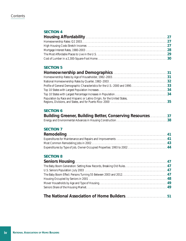#### **SECTION 4**

#### **SECTION 5**

| Population by Race and Hispanic or Latino Origin, for the United States, |  |
|--------------------------------------------------------------------------|--|

#### **SECTION 6**

| <b>Building Greener, Building Better, Conserving Resources37</b> |  |
|------------------------------------------------------------------|--|
|                                                                  |  |

#### **SECTION 7**

#### **SECTION 8**

| $\frac{1}{2}$ . The state of the state of the state of the state of the state of the state of the state of the state of the state of the state of the state of the state of the state of the state of the state of the state of t |  |
|-----------------------------------------------------------------------------------------------------------------------------------------------------------------------------------------------------------------------------------|--|

#### **The National Association of Home Builders**. . . . . . . . . . . . . . . . . . . . . . . . . . . . . **51**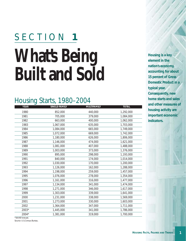# SECTION **1**

# **What's Being Built and Sold**

# Housing Starts, 1980–2004

| <b>YEAR</b> | SINGLE-FAMILY | <b>MULTIFAMILY</b> | <b>TOTAL</b> |
|-------------|---------------|--------------------|--------------|
| 1980        | 852,000       | 440,000            | 1,292,000    |
| 1981        | 705,000       | 379,000            | 1,084,000    |
| 1982        | 663,000       | 400,000            | 1,062,000    |
| 1983        | 1,067,000     | 635,000            | 1,703,000    |
| 1984        | 1,084,000     | 665,000            | 1,749,000    |
| 1985        | 1,072,000     | 669,000            | 1,742,000    |
| 1986        | 1,180,000     | 626,000            | 1,806,000    |
| 1987        | 1,146,000     | 474,000            | 1,621,000    |
| 1988        | 1,081,000     | 407,000            | 1,488,000    |
| 1989        | 1,003,000     | 373,000            | 1,376,000    |
| 1990        | 895,000       | 298,000            | 1,193,000    |
| 1991        | 840,000       | 174,000            | 1,014,000    |
| 1992        | 1,030,000     | 170,000            | 1,200,000    |
| 1993        | 1,126,000     | 162,000            | 1,288,000    |
| 1994        | 1,198,000     | 259,000            | 1,457,000    |
| 1995        | 1,076,000     | 278,000            | 1,354,000    |
| 1996        | 1,161,000     | 316,000            | 1,477,000    |
| 1997        | 1,134,000     | 341,000            | 1,474,000    |
| 1998        | 1,271,000     | 346,000            | 1,617,000    |
| 1999        | 1,303,000     | 339,000            | 1,641,000    |
| 2000        | 1,231,000     | 338,000            | 1,569,000    |
| 2001        | 1,273,000     | 330,000            | 1,603,000    |
| 2002        | 1,364,000     | 347,000            | 1,711,000    |
| 2003*       | 1,445,000     | 341,000            | 1,786,000    |
| 2004*       | 1,381,000     | 319,000            | 1,700,000    |
|             |               |                    |              |

**Housing is a key element in the nation's economy, accounting for about 15 percent of Gross Domestic Product in a typical year. Consequently, new home starts and sales and other measures of housing activity are important economic indicators.**

\*NAHB forecast. Source: U.S.Census Bureau.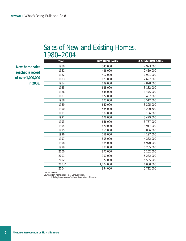# Sales of New and Existing Homes, 1980–2004

**New home sales reached a record of over 1,000,000 in 2003.**

| <b>YEAR</b> | <b>NEW HOME SALES</b> | <b>EXISTING HOME SALES</b> |
|-------------|-----------------------|----------------------------|
| 1980        | 545,000               | 2,973,000                  |
| 1981        | 436,000               | 2,419,000                  |
| 1982        | 412,000               | 1,991,000                  |
| 1983        | 623,000               | 2,697,000                  |
| 1984        | 639,000               | 2,828,000                  |
| 1985        | 688,000               | 3,132,000                  |
| 1986        | 648,000               | 3,475,000                  |
| 1987        | 672,000               | 3,437,000                  |
| 1988        | 675,000               | 3,512,000                  |
| 1989        | 650,000               | 3,325,000                  |
| 1990        | 535,000               | 3,220,600                  |
| 1991        | 507,000               | 3,186,000                  |
| 1992        | 608,000               | 3,479,000                  |
| 1993        | 666,000               | 3,787,000                  |
| 1994        | 670,000               | 3,917,000                  |
| 1995        | 665,000               | 3,886,000                  |
| 1996        | 758,000               | 4,197,000                  |
| 1997        | 805,000               | 4,382,000                  |
| 1998        | 885,000               | 4,970,000                  |
| 1999        | 881,000               | 5,205,000                  |
| 2000        | 877,000               | 5,152,000                  |
| 2001        | 907,000               | 5,282,000                  |
| 2002        | 977,000               | 5,595,000                  |
| 2003*       | 1,072,000             | 6,030,000                  |
| 2004*       | 994,000               | 5,712,000                  |

\*NAHB Forecast.

Sources: New home sales—U.S. Census Bureau.

Existing home sales—National Association of Realtors.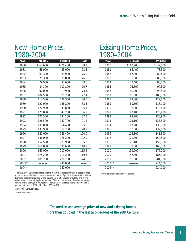### New Home Prices, 1980-2004

| <b>YEAR</b> | <b>MEDIAN</b> | <b>AVERAGE</b> | $QAI*$ |
|-------------|---------------|----------------|--------|
| 1980        | 64,600<br>S   | 76,400<br>Ŝ.   | 68.1   |
| 1981        | 68,900        | 83,000         | 73.5   |
| 1982        | 69,300        | 83,900         | 75.2   |
| 1983        | 75,300        | 89,800         | 76.8   |
| 1984        | 79,900        | 97,600         | 69.8   |
| 1985        | 84,300        | 100,800        | 70.7   |
| 1986        | 92,000        | 111,900        | 73.4   |
| 1987        | 104,500       | 127,200        | 77.4   |
| 1988        | 112,500       | 138,300        | 80.3   |
| 1989        | 120,000       | 148,800        | 83.5   |
| 1990        | 122,900       | 149,800        | 85.1   |
| 1991        | 120,000       | 147,200        | 86.2   |
| 1992        | 121,500       | 144,100        | 87.3   |
| 1993        | 126,500       | 147,700        | 91.1   |
| 1994        | 130,000       | 154,400        | 95.5   |
| 1995        | 133,900       | 158,700        | 98.2   |
| 1996        | 140,000       | 166,400        | 100.0  |
| 1997        | 146,000       | 176,200        | 102.9  |
| 1998        | 152,500       | 181,900        | 105.5  |
| 1999        | 161,000       | 195,600        | 110.7  |
| 2000        | 169,000       | 207,000        | 115.4  |
| 2001        | 175,200       | 213,200        | 119.5  |
| 2002        | 185,200       | 226,700        | 124.8  |
| 2003**      |               | 240,000        |        |
| $2004**$    |               | 252,000        |        |

\*The Quality Adjusted Index is designed to measure changes over time in the sales price of new single-family homes that are the same in terms of physical characteristics, such as floor area, geographic division within the region, location inside or outside of a metropolitan area, number of fireplaces, number of bathrooms, number of bedrooms, type of parking facility and type of foundation. The weight for the index is the proportion of all housing units sold in 1996 of that type. 1996 = 100.

Source: U.S. Census Bureau.

\*\* NAHB estimate

# Existing Home Prices, 1980–2004

| <b>YEAR</b> | <b>MEDIAN</b> | <b>AVERAGE</b> |
|-------------|---------------|----------------|
| 1980        | 62,200<br>\$  | 72,800<br>\$   |
| 1981        | 66,400        | 78,300         |
| 1982        | 67,800        | 80,500         |
| 1983        | 70,300        | 83,100         |
| 1984        | 72,400        | 86,000         |
| 1985        | 75,500        | 90,800         |
| 1986        | 80,300        | 98,500         |
| 1987        | 85,600        | 106,300        |
| 1988        | 89,300        | 112,800        |
| 1989        | 89,500        | 118,100        |
| 1990        | 92,000        | 118,600        |
| 1991        | 97,100        | 128,400        |
| 1992        | 99,700        | 130,900        |
| 1993        | 103,100       | 133,500        |
| 1994        | 107,200       | 136,700        |
| 1995        | 110,500       | 139,000        |
| 1996        | 115,800       | 141,800        |
| 1997        | 121,800       | 150,500        |
| 1998        | 128,400       | 159,100        |
| 1999        | 133,300       | 168,300        |
| 2000        | 139,000       | 176,200        |
| 2001        | 147,800       | 185,300        |
| 2002        | 158,300       | 201,700        |
| 2003**      |               | 214,000        |
| 2004**      |               | 224,000        |

Source: National Association of Realtors.

**The median and average prices of new and existing homes more than doubled in the last two decades of the 20th Century.**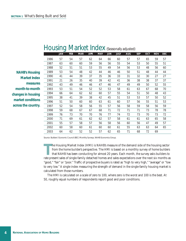|      | <b>JAN</b> | <b>FEB</b> | <b>MAR</b> | <b>APR</b> | <b>MAY</b> | <b>JUN</b> | <b>JULY</b> | <b>AUG</b> | <b>SEP</b> | <b>OCT</b> | <b>NOV</b> | <b>DEC</b> |
|------|------------|------------|------------|------------|------------|------------|-------------|------------|------------|------------|------------|------------|
| 1986 | 57         | 54         | 57         | 62         | 64         | 66         | 60          | 57         | 57         | 65         | 59         | 57         |
| 1987 | 63         | 60         | 60         | 59         | 56         | 56         | 55          | 54         | 53         | 50         | 55         | 51         |
| 1988 | 52         | 51         | 51         | 53         | 55         | 49         | 54          | 56         | 53         | 48         | 56         | 60         |
| 1989 | 53         | 54         | 48         | 42         | 44         | 46         | 46          | 50         | 51         | 48         | 44         | 44         |
| 1990 | 41         | 44         | 39         | 37         | 35         | 36         | 33          | 31         | 32         | 30         | 27         | 27         |
| 1991 | 21         | 26         | 35         | 40         | 39         | 42         | 41          | 36         | 38         | 38         | 37         | 37         |
| 1992 | 43         | 49         | 46         | 46         | 47         | 46         | 47          | 49         | 49         | 50         | 52         | 55         |
| 1993 | 53         | 51         | 54         | 52         | 52         | 53         | 58          | 61         | 63         | 67         | 68         | 70         |
| 1994 | 66         | 64         | 62         | 62         | 60         | 57         | 55          | 54         | 51         | 50         | 48         | 43         |
| 1995 | 38         | 41         | 39         | 38         | 42         | 45         | 51          | 53         | 53         | 57         | 50         | 52         |
| 1996 | 51         | 50         | 60         | 60         | 63         | 61         | 60          | 57         | 56         | 55         | 51         | 53         |
| 1997 | 52         | 54         | 58         | 56         | 55         | 57         | 56          | 58         | 59         | 58         | 56         | 59         |
| 1998 | 59         | 68         | 67         | 67         | 68         | 71         | 72          | 71         | 71         | 73         | 78         | 78         |
| 1999 | 76         | 73         | 70         | 70         | 76         | 77         | 74          | 72         | 73         | 70         | 73         | 72         |
| 2000 | 71         | 69         | 61         | 62         | 62         | 57         | 58          | 61         | 61         | 63         | 65         | 58         |
| 2001 | 55         | 57         | 58         | 57         | 56         | 58         | 56          | 60         | 56         | 47         | 49         | 57         |
| 2002 | 60         | 58         | 60         | 61         | 60         | 60         | 61          | 55         | 63         | 63         | 64         | 65         |
| 2003 | 64         | 62         | 52         | 52         | 57         | 62         | 65          | 71         | 68         | 72         | 69         |            |
|      |            |            |            |            |            |            |             |            |            |            |            |            |

# Housing Market Index *(Seasonally adjusted)*

**NAHB's Housing Market Index measures month-to-month changes in housing market conditions across the country.**

Source: Builders' Economic Council (BEC) Monthly Surveys, NAHB Economics Group.

The Housing Market Index (HMI) is NAHB's measure of the demand side of the housing sector from the home builder's perspective. The HMI is based on a monthly survey of home builders that NAHB has been conducting for almost he Housing Market Index (HMI) is NAHB's measure of the demand side of the housing sector from the home builder's perspective. The HMI is based on a monthly survey of home builders that NAHB has been conducting for almost 20 years. Each month, the survey asks builders to "good," "fair" or "poor." Traffic of prospective buyers is rated as "high to very high," "average" or "low to very low." A single index measuring the strength of demand in the single-family housing market is calculated from those numbers.

The HMI is calculated on a scale of zero to 100, where zero is the worst and 100 is the best. At 50, roughly equal numbers of respondents report good and poor conditions.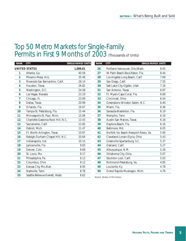# Top 50 Metro Markets for Single-Family Permits in First 9 Months of 2003 *(Thousands of Units)*

| <b>RANK</b>    | <b>CITY</b>                        | SINGLE-FAMILY UNITS | <b>RANK</b> | <b>CITY</b><br>SINGLE-FAMILY UNITS  |      |
|----------------|------------------------------------|---------------------|-------------|-------------------------------------|------|
|                | <b>UNITED STATES</b>               | 1,098.81            | 26          | Portland-Vancouver, Ore./Wash.      | 8.45 |
| 1              | Atlanta, Ga.                       | 40.58               | 27          | W. Palm Beach-Boca Raton, Fla.      | 8.44 |
| $\overline{2}$ | Phoenix-Mesa, Ariz.                | 35.48               | 28          | Los Angeles-Long Beach, Calif.      | 7.69 |
| 3              | Riverside-San Bernardino, Calif.   | 28.14               | 29          | San Diego, Calif.                   | 7.55 |
| 4              | Houston, Texas                     | 26.82               | 30          | Salt Lake City-Ogden, Utah          | 7.16 |
| 5              | Washington, D.C.                   | 24.58               | 31          | San Antonio, Texas                  | 6.97 |
| 6              | Las Vegas, Nevada                  | 23.19               | 32          | Ft. Myers-Cape Coral, Fla.          | 6.69 |
| 7              | Chicago, Ill.                      | 23.09               | 33          | Cincinnati, Ohio                    | 6.54 |
| 8              | Dallas, Texas                      | 20.99               | 34          | Greensboro-Winston Salem, N.C.      | 6.40 |
| 9              | Orlando, Fla.                      | 16.67               | 35          | Miami, Fla.                         | 6.36 |
| 10             | Tampa-St. Petersburg, Fla.         | 15.44               | 36          | Sarasota-Bradenton, Fla.            | 6.19 |
| 11             | Minneapolis-St. Paul, Minn.        | 15.06               | 37          | Memphis, Tenn.                      | 6.16 |
| 12             | Charlotte-Gastonia-Rock Hill, N.C. | 13.43               | 38          | Austin-San Marcos, Texas            | 6.16 |
| 13             | Sacramento, Calif.                 | 12.85               | 39          | Daytona Beach, Fla.                 | 6.16 |
| 14             | Detroit, Mich.                     | 11.47               | 40          | Baltimore, Md.                      | 6.05 |
| 15             | Ft. Worth-Arlington, Texas         | 10.87               | 41          | Norfolk-Va. Beach-Newport News, Va. | 5.90 |
| 16             | Raleigh-Durham-Chapel Hill, N.C.   | 10.64               | 42          | Cleveland-Lorain-Elyria, Ohio       | 5.43 |
| 17             | Indianapolis, Ind.                 | 10.15               | 43          | Greenville-Spartanburg, S.C.        | 5.37 |
| 18             | Jacksonville, Fla                  | 9.83                | 44          | Oakland, Calif.                     | 5.27 |
| 19             | Denver, Colo.                      | 9.69                | 45          | Albuquerque, N.M.                   | 5.26 |
| 20             | St. Louis, Mo.                     | 9.17                | 46          | Oklahoma City, Okla.                | 5.07 |
| 21             | Philadelphia, Pa.                  | 9.13                | 47          | Stockton-Lodi, Calif.               | 5.03 |
| 22             | Columbus, Ohio                     | 9.12                | 48          | Richmond-Petersburg, Va.            | 4.85 |
| 23             | Kansas City, Mo./Kan.              | 8.95                | 49          | Louisville, Ky.                     | 4.78 |
| 24             | Nashville, Tenn.                   | 8.78                | 50          | Grand Rapids-Muskegon, Mich.        | 4.76 |
| 25             | Seattle-Bellevue-Everett, Wash.    | 8.62                |             | Course Duroqu of the Consus         |      |

Source: Bureau of the Census.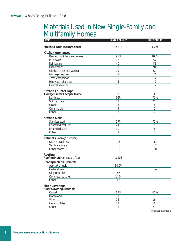# Materials Used in New Single-Family and Multifamily Homes

| <b>ITEM</b>                                               | <b>SINGLE FAMILY</b> | <b>MULTIFAMILY</b>       |
|-----------------------------------------------------------|----------------------|--------------------------|
| Finished Area (square feet)                               | 2,272                | 1,268                    |
| <b>Kitchen Appliances</b>                                 |                      |                          |
| Ranges, cook tops and ovens                               | 95%                  | 100%                     |
| Microwave                                                 | 72                   | 57                       |
| Refrigerator                                              | 40                   | 83                       |
| Dishwasher                                                | 93                   | 91                       |
| Clothes dryer and washer                                  | 19                   | 60                       |
| Garbage disposer                                          | 77                   | 74                       |
| Trash compactor                                           | $\overline{5}$       | $\overline{7}$           |
| Hot water dispenser                                       | $\overline{5}$       | $\boldsymbol{7}$         |
| Central vacuum                                            | 10                   | $\overline{2}$           |
| <b>Kitchen Counter Tops</b>                               |                      |                          |
| <b>Average Linear Feet per Home</b>                       | 23                   | 17                       |
| Laminate                                                  | 56%                  | 70%                      |
| Solid surface                                             | 17                   | 20                       |
| Granite                                                   | 15                   | 8                        |
| Ceramic tile                                              | 9                    | $\sqrt{2}$               |
| Other                                                     | $\overline{3}$       | $\overline{\phantom{0}}$ |
| <b>Kitchen Sinks</b>                                      |                      |                          |
| Stainless steel                                           | 57%                  | 72%                      |
| Enameled cast iron                                        | 24                   | 15                       |
| Enameled steel                                            | 10                   | 8                        |
| Other                                                     | 9                    | $\overline{5}$           |
| Cabinets (average number)                                 |                      |                          |
| Kitchen cabinets                                          | 15                   | 11                       |
| Vanity cabinets                                           | $\overline{3}$       | $\sqrt{2}$               |
| Other rooms                                               | $\overline{2}$       | $\overline{0}$           |
| Roofing                                                   |                      |                          |
| <b>Roofing Material (square feet)</b>                     | 3,103                |                          |
| <b>Roofing Material (percent)</b>                         |                      |                          |
| Asphalt shingle                                           | 80.0%                |                          |
| Cedar shake                                               | 1.6                  |                          |
| Clay roof tiles                                           | 2.6                  |                          |
| Concrete roof tiles                                       | 14.0                 |                          |
| Other`                                                    | 1.9                  |                          |
| <b>Floor Coverings</b><br><b>Floor Covering Materials</b> |                      |                          |
| Carpet                                                    | 63%                  | 60%                      |
| Hardwood                                                  | 11                   | $\overline{8}$           |
| Vinyl                                                     | 13                   | $\overline{16}$          |
| Ceramic Tiles                                             | $12\,$               | 16                       |
| Other                                                     | 1                    | <1                       |
|                                                           |                      |                          |

*continued on page 8*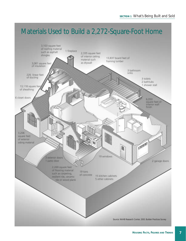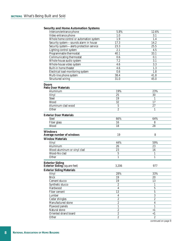#### **Security and Home Automation Systems**

| Intercom/entrance phone                     | 5.8%             | 12.6%            |
|---------------------------------------------|------------------|------------------|
| Video entrance phone                        | 1.0              | 3.1              |
| Whole home control or automation system     | 1.9              | 1.4              |
| Security system-sounds alarm in house       | 17.3             | 14.2             |
| Security system-alerts protection service   | 23.3             | 25.5             |
| Lighting control system                     | $\overline{2.1}$ | 4.5              |
| Programmable thermostat                     | 40.1             | 33.1             |
| Communicating thermostat                    | 0.6              | 0.1              |
| Whole-house audio system                    | $\overline{7.2}$ | $\overline{3.1}$ |
| Whole-house video system                    | 4.6              | $\overline{3.3}$ |
| Built-in home theater                       | 4.6              | 1.3              |
| Electrical load-monitoring system           | 0.6              | 1.8              |
| Multi-line phone system                     | 38.4             | 41.8             |
| Structured wiring                           | 31.0             | 45.0             |
|                                             |                  |                  |
| <b>Doors</b><br><b>Patio Door Materials</b> |                  |                  |
| Aluminum                                    | 19%              | 23%              |
| Vinyl                                       | 25               | 30               |
| <b>Steel</b>                                | 19               | $\mathbf{1}$     |
| Wood                                        | $\overline{32}$  | 17               |
| Aluminum clad wood                          | $\mathbf 5$      | 27               |
| Other                                       | $\overline{2}$   | $\mathbf{1}$     |
| <b>Exterior Door Materials</b>              |                  |                  |
| Steel                                       | 66%              | 64%              |
| Fiber glass                                 | 16               | 8                |
| Wood                                        | 18               | 28               |
| <b>Windows</b><br>Average number of windows | 19               | 8                |
| <b>Window Materials</b>                     |                  |                  |
|                                             |                  |                  |
| Vinyl                                       | 44%              | 59%              |
| Aluminum                                    | 26               | 23               |
| Wood-aluminum or vinyl clad                 | $\overline{23}$  | 16               |
| Wood-No clad                                | $\overline{5}$   | 1                |
| Other                                       | $\mathbf 1$      | $\mathbf{1}$     |
| <b>Exterior Siding</b>                      |                  |                  |
| <b>Exterior Siding</b> (square feet)        | 3,206            | 977              |
| <b>Exterior Siding Materials</b>            |                  |                  |
| Vinyl                                       | 28%              | 33%              |
| <b>Brick</b>                                | 19               | 20               |
| Cement stucco                               | 19               | 13               |
|                                             | $\overline{2}$   | $\mathbf{1}$     |
| Synthetic stucco<br>Hardwood                | $\overline{4}$   | $\overline{5}$   |
|                                             | 13               | $\overline{5}$   |
| Fiber cement                                |                  | $\overline{3}$   |
| Lumber                                      | $\overline{4}$   |                  |
| Cedar shingles                              | $\sqrt{2}$       | $\overline{2}$   |
| Manufactured stone                          | $\overline{2}$   | $\overline{4}$   |
| Plywood panels                              | 1                | $\mathbf{1}$     |
| Natural stone                               | $\overline{2}$   | <1               |
| Oriented strand board                       | $\overline{2}$   | <1               |
| Other                                       | $\overline{2}$   | $\overline{2}$   |

*continued on page 9*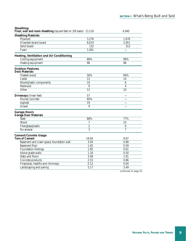| Sheathing<br>Floor, wall and room sheathing (square feet on 3/8 basis) 13,118 |                 | 4,940                    |
|-------------------------------------------------------------------------------|-----------------|--------------------------|
| <b>Sheathing Materials</b>                                                    |                 |                          |
| Plywood                                                                       | 3,276           | 1,676                    |
| Oriented strand board                                                         | 8,619           | 2,951                    |
| Solid board                                                                   | 132             | 313                      |
| Foam                                                                          | 1,091           | $\overline{\phantom{0}}$ |
| Heating, Ventilation and Air Conditioning                                     |                 |                          |
| Cooling equipment                                                             | 88%             | 89%                      |
| Heating equipment                                                             | 98              | 98                       |
| <b>Outdoor Features</b><br><b>Deck Materials</b>                              |                 |                          |
| Treated wood                                                                  | 56%             | 66%                      |
| Cedar                                                                         | 12              | 14                       |
| Wood/plastic components                                                       | 10              | $6\phantom{1}6$          |
| Redwood                                                                       | $\overline{9}$  | $\overline{4}$           |
| Other                                                                         | $\overline{13}$ | 10                       |
| <b>Driveways</b> (linear feet)                                                | 57              |                          |
| Poured concrete                                                               | 60%             |                          |
| Asphalt                                                                       | 19              |                          |
| Gravel                                                                        | 9               |                          |
| <b>Garage Doors</b><br><b>Garage Door Materials</b>                           |                 |                          |
| Steel                                                                         | 88%             | 77%                      |
| Wood                                                                          | 7               | 10                       |
| Fiberglass/plastic                                                            | $\overline{2}$  | $6\phantom{1}6$          |
| No answer                                                                     | $\overline{3}$  | $\overline{7}$           |
| <b>Cement/Conrete Usage</b><br><b>Tons of Cement</b>                          | 19.00           | 8.87                     |
| Basement and crawl space; foundation wall                                     | 3.04            | 0.88                     |
| <b>Basement</b> floor                                                         | 1.65            | 0.59                     |
| Foundation footings                                                           | 1.85            | 0.61                     |
| Above grade walls                                                             | 1.16            | 0.50                     |
| Slabs and floors                                                              | 3.48            | 1.91                     |
| Concrete products                                                             | 2.53            | 0.86                     |
| Fireplaces, hearths and chimneys                                              | 0.12            | 0.04                     |
| Landscaping and paving                                                        | 5.17            | 3.49                     |
|                                                                               |                 |                          |

*continued on page 10*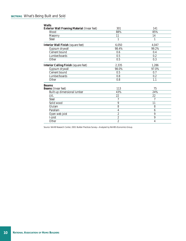#### **SECTION1** What's Being Built and Sold

| <b>Walls</b>                                        |                 |                 |
|-----------------------------------------------------|-----------------|-----------------|
| <b>Exterior Wall Framing Material (linear feet)</b> | 301             | 141             |
| Wood                                                | 88%             | 85%             |
| Masonry                                             | 11              | 14              |
| Steel                                               | 1               | 1               |
| <b>Interior Wall Finish (square feet)</b>           | 6,050           | 4,047           |
| Gypsum drywall                                      | 98.4%           | 99.2%           |
| Cement bound                                        | 0.6             | 0.4             |
| Lumber/boards                                       | 0.5             | 0.2             |
| Other                                               | 0.5             | 0.3             |
| <b>Interior Ceiling Finish (square feet)</b>        | 2,335           | 1,286           |
| Gypsum drywall                                      | 98.0%           | 97.0%           |
| Cement bound                                        | 0.5             | 0.7             |
| Lumber/boards                                       | 0.8             | 0.2             |
| Other                                               | 0.8             | 1.1             |
| <b>Beams</b>                                        |                 |                 |
| <b>Beams</b> (linear feet)                          | 113             | 75              |
| Built-up dimensional lumber                         | 43%             | 24%             |
| <b>LVL</b>                                          | $\overline{22}$ | $\overline{22}$ |
| <b>Steel</b>                                        | 7               | 7               |
| Solid wood                                          | 9               | 11              |
| Glulam                                              | 8               | $\overline{8}$  |
| Parallam                                            | 4               | 6               |
| Open web joist                                      | $\overline{c}$  | 9               |
| I-joist                                             | $\overline{2}$  | $\overline{9}$  |
| Other                                               | $\overline{2}$  | 4               |

Source: NAHB Research Center, 2001 Builder Practices Survey—Analyzed by NAHB's Economics Group.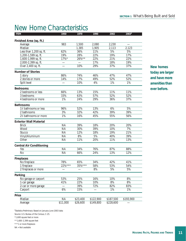# New Home Characteristics

| <b>ITEM</b>                        | 1950      | 1970     | 1990      | 2002      | 2003 <sup>P</sup> |
|------------------------------------|-----------|----------|-----------|-----------|-------------------|
| Finished Area (sq. ft.)            |           |          |           |           |                   |
| Average                            | 983       | 1,500    | 2,080     | 2,230     |                   |
| Median                             |           | 1,385    | 1,905     | 2,113     | 2,123             |
| Less than 1,200 sq. ft.            | 62%       | 36%      | 11%       | 5%        | 5%                |
| 1,200-1,599 sq. ft.                | 19%       | 28%      | 22%       | 19%       | 17%               |
| 1,600-1,999 sq. ft.                | $17\%$ *  | $26\%**$ | 22%       | 21%       | 22%               |
| 2,000-2,399 sq. ft.                |           |          | 17%       | 18%       | 19%               |
| Over 2,400 sq. ft.                 |           | 10%      | 29%       | 37%       | 37%               |
| <b>Number of Stories</b>           |           |          |           |           |                   |
| 1 story                            | 86%       | 74%      | 46%       | 47%       | 47%               |
| 2 stories or more                  | 14%       | 17%      | 49%       | 52%       | 52%               |
| Split level                        |           | 10%      | 4%        | 1%        | 1%                |
| <b>Bedrooms</b>                    |           |          |           |           |                   |
| 2 bedrooms or less                 | 66%       | 13%      | 15%       | 11%       | 11%               |
| 3 bedrooms                         | 33%       | 63%      | 57%       | 52%       | 52%               |
| 4 bedrooms or more                 | 1%        | 24%      | 29%       | 36%       | 37%               |
| <b>Bathrooms</b>                   |           |          |           |           |                   |
| 1½ bathrooms or less               | 96%       | 52%      | 13%       | 6%        | $5\%$             |
| 2 bathrooms                        | 3%        | 32%      | 42%       | 39%       | 39%               |
| 2 <sup>1/2</sup> bathrooms or more | 1%        | 16%      | 45%       | 55%       | 56%               |
| <b>Exterior Wall Material</b>      |           |          |           |           |                   |
| <b>Brick</b>                       | <b>NA</b> | 39%      | 18%       | 20%       | 20%               |
| Wood                               | <b>NA</b> | 30%      | 39%       | 10%       | 7%                |
| <b>Stucco</b>                      | <b>NA</b> | 12%      | 18%       | 19%       | 21%               |
| Vinyl/Aluminum                     | <b>NA</b> | 8%       | 5%        | 40%       | 39%               |
| Other                              | <b>NA</b> | 11%      | 20%       | 11%       | 13%               |
| <b>Central Air Conditioning</b>    |           |          |           |           |                   |
| Yes                                | <b>NA</b> | 34%      | 76%       | 87%       | 88%               |
| $\overline{\text{No}}$             | <b>NA</b> | 66%      | 24%       | 13%       | 12%               |
| <b>Fireplaces</b>                  |           |          |           |           |                   |
| No fireplace                       | 78%       | 65%      | 34%       | 42%       | 41%               |
| 1 fireplace                        | $22\%***$ | 35%***   | 58%       | 53%       | 54%               |
| 2 fireplaces or more               |           |          | $8\%$     | $5\%$     | $5\%$             |
| Parking                            |           |          |           |           |                   |
| No garage or carport               | 53%       | 25%      | 16%       | 10%       | $8\%$             |
| 1-car garage                       | 41%       | 22%      | 10%       | $8\%$     | $8\%$             |
| 2-car or more garage               |           | 39%      | 72%       | 82%       | 83%               |
| Carport                            | 6%        | 15%      |           | $1\%$     | $1\%$             |
| Price                              |           |          |           |           |                   |
| Median                             | NA        | \$23,400 | \$122,900 | \$187,500 | \$193,900         |
| Average                            | \$11,000  | \$26,600 | \$149,800 | \$228,600 |                   |

**New homes today are larger and have more amenities than ever before.**

P Statistics Preliminary: Based on January–June 2003 data

Source: U.S. Bureau of the Census, C-25.

\*1,600 square feet or more

\*\*1,600–2,399 square feet \*\*\*1 or more fireplaces

NA = Not available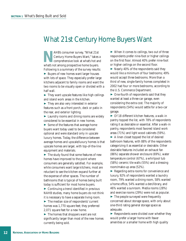### What 21st Century Home Buyers Want

**NAHB's consumer survey, "What 21st<br>Century Home Buyers Want," takes<br>comprehensive look at what's hot are what's not among prospective home buyers** Century Home Buyers Want," takes a comprehensive look at what's hot and what's not among prospective home buyers. Following is a summary of the survey results: ® Buyers of new homes want larger houses with lots of space. They especially prefer large kitchens adjacent to family rooms and want the two rooms to be visually open or divided with a

half wall.  $\blacktriangleright$  They want upscale features like high ceilings and island work areas in the kitchen.

▶ They are also very interested in exterior features such as a front porch, deck or patio in the rear, and exterior lighting.

► Laundry rooms and dining rooms are widely considered to be essential in new homes.

 $\triangleright$  Some of the features that average home buyers want today used to be considered optional and were standard only in upscale luxury homes. Today, the difference between average homes and upscale/luxury homes is that upscale homes are larger, with top-of-the-line equipment and materials.

 $\blacktriangleright$  The study found that some features of new homes have improved to the point where consumers are generally satisfied. For example, while consumers want large kitchens, most are reluctant to see the kitchen expand further at the expense of other spaces. The number of bathrooms that is typical of homes being built today is sufficient for most home buyers.

 $\triangleright$  Continuing a trend identified in previous NAHB studies, many home buyers do not think it is necessary to have a separate living room.

▶ The median size of respondents' current homes was 1,770 square feet; they preferred 2,071 square feet for a new home.

▶ The homes that shoppers want are not significantly larger than most of the new homes currently being sold.

► When it comes to ceilings, two out of three respondents prefer nine-foot or higher ceilings on the first floor. Almost 40% prefer nine-foot or higher ceilings on the second floor.

 $\triangleright$  Nearly 40% of the respondents said they would like a minimum of four bedrooms; 49% would accept three bedrooms. More than a third of new, single-family homes completed in 2002 had four or more bedrooms, according to the U.S. Commerce Department.

 $\triangleright$  One-fourth of respondents said that they wanted at least a three-car garage, even considering the extra cost. The majority of respondents (54%) would settle for a two-car garage.

► Of 18 different kitchen features, a walk-in pantry topped the list, with 78% of respondents rating it as desirable or essential. After a walk-in pantry, respondents most favored island work areas (71%) and light wood cabinets (59%).

® A linen closet topped the list of desired bathroom features, with 88% of the respondents categorizing it as essential or desirable. Other desirable features included an exhaust fan (86%) separate shower enclosure (69%), water temperature control (67%), a whirlpool tub (58%) ceramic tile walls (55%) and a dressing room/make-up area (52%).

▶ Regarding extra rooms for convenience and luxury, 92% of respondents wanted a laundry room, 79% wanted a dining room, 58% wanted a home office, 54% wanted a den/library, and 46% wanted a sunroom. Media rooms (28%) and exercise rooms (29%) were not as popular.

► The people surveyed were frequently concerned about storage space, with only about one-third rating general storage space as adequate.

▶ Respondents were divided over whether they would prefer a larger home with fewer amenities or a smaller home with high quality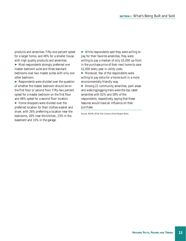products and amenities. Fifty-one percent opted for a larger home, and 49% for a smaller house with high quality products and amenities.

 $\triangleright$  Most respondents strongly preferred one master bedroom suite and three standard bedrooms over two master suites with only one other bedroom.

▶ Respondents were divided over the question of whether the master bedroom should be on the first floor or second floor. Fifty-two percent opted for a master bedroom on the first floor and 48% opted for a second floor location.

® Home shoppers were divided over the preferred location for their clothes washer and dryer, with 26% preferring a location near the bedrooms, 26% near the kitchen, 23% in the basement and 10% in the garage.

 $\triangleright$  While respondents said they were willing to pay for their favorite amenities, they were willing to pay a median of only \$5,000 up-front in the purchase price of their next home to save \$1,000 every year in utility costs.

® Moreover, few of the respondents were willing to pay extra for a home built in a more environmentally friendly way.

® Among 22 community amenities, park areas and walking/jogging trails were the top rated amenities with 62% and 58% of the respondents, respectively, saying that these features would have an influence on their purchase.

Source: NAHB, *What 21st Century Home Buyers Want.*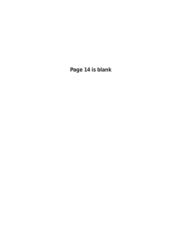**Page 14 is blank**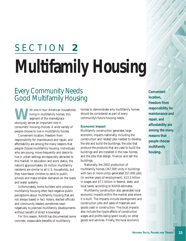# SECTION **2 Multifamily Housing**

# Every Community Needs Good Multifamily Housing

ith one in four American households living in multifamily homes, this segment of the marketplace obviously serves an important role in consumers' housing choices. A wide variety of people choose to live in multifamily homes.

Convenient location, freedom from responsibility for maintenance and repair, and affordability are among the many reasons that people choose multifamily housing. Individuals who are young, move frequently and desire to live in urban settings are especially attracted to this market. In education and work status, the nation's approximately 26 million multifamily residents are similar to all U.S. households, but they have fewer children to send to public schools and make smaller demands on the roads and water systems.

Unfortunately, home builders who produce multifamily housing often face negative public perceptions about multifamily housing that are not always based in fact. Voters, elected officials and community leaders sometimes react negatively to planned multifamily developments without benefit of direct knowledge.

For this reason, NAHB has documented some concrete, measurable benefits of multifamily

homes to demonstrate why multifamily homes should be considered as part of every community's future housing needs.

#### **Economic Impact**

Multifamily construction generates large economic impacts nationally, including the construction and related jobs needed to develop the site and build the buildings; the jobs that produce the products that are used to build the buildings and are installed in the new homes; and the jobs that design, finance, and sell the buildings.

Nationally, the 2002 production of multifamily homes (347,000 units in buildings with two or more units) generated 357,000 jobs (in worker-years of employment), \$13.3 billion in wages and \$7.1 billion in federal, state, and local taxes, according to NAHB estimates.

Multifamily construction also generates local economic impacts within the market area where it is built. The impacts include development and construction jobs and sales of materials and goods used in construction. The local impacts also include the ripple effects of construction wages and profits being spent locally on other goods and services. Finally, the local economic

**Convenient location, freedom from responsibility for maintenance and repair, and affordability are among the many reasons that people choose multifamily housing.**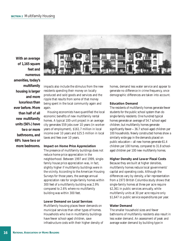



impacts also include the stimulus from the new residents spending their money on locally produced and sold goods and services and the ripple that results from some of that money being spent in the local community again and again.

Housing economists have quantified the local economic benefits of new multifamily rental homes. A typical 100-unit project in an average city generates 559 jobs over 10 years (in workeryears of employment), \$161.7 million in local income over 10 years and \$25.5 million in local taxes and fees over 10 years.

#### **Impact on Home Price Appreciation**

The presence of multifamily buildings does not reduce home price appreciation in the neighborhood. Between 1997 and 1999, singlefamily house price appreciation was, in fact, slightly higher if multifamily buildings were in the vicinity. According to the American Housing Surveys for those years, the average annual appreciation rate for single-family homes within 300 feet of a multifamily building was 2.9% compared to 2.6% where no multifamily building was within 300 feet.

#### **Lower Demand on Local Services**

Multifamily housing places fewer demands on municipal services than other types of homes. Households who live in multifamily buildings have fewer school-aged children, save infrastructure costs with their higher density of homes, demand less water service and appear to generate no difference in crime frequency, once demographic differences are taken into account.

#### **Education Demand**

The residents of multifamily homes generate fewer students for the public school system than do single-family residents. One hundred typical homes generate an average of 54.7 school-aged children; but multifamily homes generate significantly fewer—36.7 school-aged children per 100 households. Newly constructed homes show a similarly wide gap in the demands placed on public education—all new homes generate 61.4 children per 100 homes, compared to 31.8 schoolaged children per 100 new multifamily homes.

#### **Higher Density and Lower Fiscal Costs**

Because they are built at higher densities, multifamily homes reduce local governments' capital and operating costs. Although the differences vary by density, a fair representation from a 1973 British Columbia study shows that single-family homes at three per acre require \$2,361 in public services annually, while multifamily units at 30 per acre require only \$1,647 in public service expenditures per year.

#### **Water Demand**

The smaller household sizes and fewer bathrooms of multifamily residents also result in less water demand. An assessment of peak and average water demand by building type in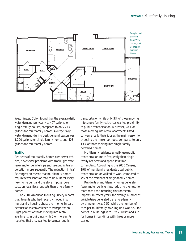

Westminster, Colo., found that the average daily water demand per year was 407 gallons for single-family houses, compared to only 213 gallons for multifamily homes. Average daily water demand during peak demand season was 1,290 gallons for single-family homes and 403 gallons for multifamily homes.

#### **Traffic**

Residents of multifamily homes own fewer vehicles, have fewer problems with traffic, generate fewer motor vehicle trips and use public transportation more frequently. The reduction in traffic congestion means that multifamily homes require fewer lanes of road to be built for every new home built and therefore impose lower costs on local fiscal budgets than single-family homes.

The 2001 American Housing Survey reports that tenants who had recently moved into multifamily housing chose their home, in part, because of its convenience to transportation. Eight percent of those moving into rental apartments in buildings with 5 or more units reported that they wanted to be near public

transportation while only 3% of those moving into single-family residences wanted proximity to public transportation. Moreover, 28% of those moving into rental apartments listed convenience to their jobs as the main reason for choosing their neighborhood, compared to only 13% of those moving into single-family detached homes.

Multifamily residents actually use public transportation more frequently than singlefamily residents and spend less time commuting. According to the 2000 Census, 19% of multifamily residents used public transportation or walked to work compared to 4% of the residents of single-family homes.

Residents of multifamily homes generate fewer motor vehicle trips, reducing the need for more roads and reducing environmental impacts. In recent years, the average number of vehicle trips generated per single-family dwelling unit was 9.57, while the number of trips per multifamily dwelling unit was 6.59 for homes in buildings with 1 to 2 stories and 4.2 for homes in buildings with three or more stories.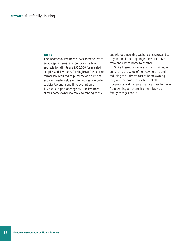#### **Taxes**

The income tax law now allows home sellers to avoid capital gains taxation for virtually all appreciation (limits are \$500,000 for married couples and \$250,000 for single tax filers). The former law required re-purchase of a home of equal or greater value within two years in order to defer tax and a one-time exemption of \$125,000 in gain after age 55. The law now allows home owners to move to renting at any

age without incurring capital gains taxes and to stay in rental housing longer between moves from one owned home to another.

While these changes are primarily aimed at enhancing the value of homeownership and reducing the ultimate cost of home owning, they also increase the flexibility of all households and increase the incentives to move from owning to renting if other lifestyle or family changes occur.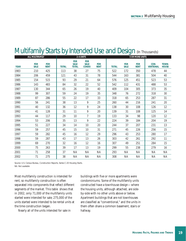# Multifamily Starts by Intended Use and Design *(In Thousands)*

|             | <b>ALL MULTIFAMILY</b>    |                           |              |                                           | 2-4 UNITS                                 |                           |              |                           | <b>5 OR MORE UNITS</b>    |                          |                              |
|-------------|---------------------------|---------------------------|--------------|-------------------------------------------|-------------------------------------------|---------------------------|--------------|---------------------------|---------------------------|--------------------------|------------------------------|
| <b>YEAR</b> | <b>FOR</b><br><b>SALE</b> | <b>FOR</b><br><b>RENT</b> | <b>TOTAL</b> | <b>FOR</b><br><b>SALE</b><br><b>TOTAL</b> | <b>FOR</b><br><b>SALE</b><br><b>CONDO</b> | <b>FOR</b><br><b>RENT</b> | <b>TOTAL</b> | <b>FOR</b><br><b>SALE</b> | <b>FOR</b><br><b>RENT</b> | CON-<br><b>VENTIONAL</b> | <b>TOWN-</b><br><b>HOUSE</b> |
| 1983        | 210                       | 425                       | 113          | 38                                        | 27                                        | 75                        | 522          | 172                       | 350                       | 478                      | 44                           |
| 1984        | 206                       | 459                       | 121          | 43                                        | 31                                        | 78                        | 544          | 163                       | 381                       | 504                      | 40                           |
| 1985        | 154                       | 515                       | 93           | 29                                        | 21                                        | 64                        | 576          | 125                       | 451                       | 523                      | 53                           |
| 1986        | 143                       | 483                       | 84           | 32                                        | 22                                        | 52                        | 542          | 112                       | 431                       | 488                      | 53                           |
| 1987        | 130                       | 344                       | 65           | 26                                        | 19                                        | 40                        | 409          | 104                       | 305                       | 373                      | 35                           |
| 1988        | 99                        | 307                       | 59           | 24                                        | 19                                        | 35                        | 348          | 76                        | 272                       | 318                      | 30                           |
| 1989        | 87                        | 286                       | 55           | 22                                        | 17                                        | 33                        | 318          | 65                        | 253                       | 287                      | 31                           |
| 1990        | 56                        | 241                       | 38           | 13                                        | 9                                         | 25                        | 260          | 44                        | 216                       | 241                      | 20                           |
| 1991        | 40                        | 132                       | 36           | 12                                        | 9                                         | 24                        | 138          | 30                        | 108                       | 126                      | 12                           |
| 1992        | 41                        | 128                       | 31           | 11                                        | 9                                         | 20                        | 139          | 31                        | 108                       | 125                      | 14                           |
| 1993        | 44                        | 117                       | 29           | 10                                        | $\overline{7}$                            | 19                        | 133          | 34                        | 98                        | 120                      | $12\,$                       |
| 1994        | 53                        | 206                       | 35           | 13                                        | 9                                         | 22                        | 224          | 39                        | 184                       | 204                      | 19                           |
| 1995        | 51                        | 227                       | 34           | 14                                        | 10                                        | 20                        | 244          | 37                        | 207                       | 231                      | 13                           |
| 1996        | 59                        | 257                       | $45\,$       | 15                                        | 10                                        | 31                        | 271          | $45\,$                    | 226                       | 256                      | 15                           |
| 1997        | 59                        | 282                       | 45           | 16                                        | 12                                        | 29                        | 296          | 43                        | 253                       | 280                      | 17                           |
| 1998        | 59                        | 287                       | 43           | 17                                        | 13                                        | 26                        | 303          | 42                        | 261                       | 292                      | 11                           |
| 1999        | 69                        | 270                       | $32\,$       | 16                                        | 12                                        | 16                        | 307          | 49                        | 251                       | 284                      | 15                           |
| 2000        | 75                        | 263                       | 39           | 17                                        | 13                                        | 19                        | 299          | 55                        | 238                       | 279                      | 16                           |
| 2001        | 71                        | 258                       | 37           | <b>NA</b>                                 | NA                                        | <b>NA</b>                 | 293          | <b>NA</b>                 | NA                        | <b>NA</b>                | <b>NA</b>                    |
| 2002        | 71                        | 275                       | 38           | NA                                        | NA                                        | NA                        | 308          | NA                        | NA                        | NA                       | NA                           |

Source: U.S. Census Bureau, Construction Reports, Series C-20 Housing Starts. NA: Not available

Most multifamily construction is intended for rent, so multifamily construction is often separated into components that reflect different segments of the market. This table shows that in 2002, only 71,000 of the multifamily units started were intended for sale; 275,000 of the units started were intended to be rental units at the time construction began.

Nearly all of the units intended for sale in

buildings with five or more apartments were condominiums. Some of the multifamily units constructed have a townhouse design—where the housing units, although attached, are sideby-side with no other units above or below. Apartment buildings that are not townhouses are classified as "conventional," and the units in them often share a common basement, stairs or hallway.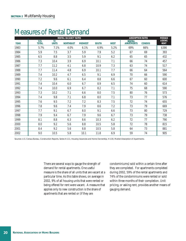# Measures of Rental Demand

|             |                                   |                      | <b>RENTAL VACANCY RATES</b> |                |              |             | <b>ABSORPTION RATES</b> |               | <b>MEDIAN</b>                |
|-------------|-----------------------------------|----------------------|-----------------------------|----------------|--------------|-------------|-------------------------|---------------|------------------------------|
| <b>YEAR</b> | $\overline{U.S.}$<br><b>TOTAL</b> | $5+$<br><b>UNITS</b> | <b>NORTHEAST</b>            | <b>MIDWEST</b> | <b>SOUTH</b> | <b>WEST</b> | RENTAL<br>APARTMENTS    | <b>CONDOS</b> | <b>ASKING</b><br><b>RENT</b> |
| 1983        | 5.7%                              | 7.1%                 | 4.0%                        | 6.1%           | 6.9%         | 5.2%        | 69%                     | 66%           | \$386                        |
| 1984        | 5.9                               | 7.5                  | 3.7                         | 5.9            | 7.9          | 5.2         | 67                      | 69            | 393                          |
| 1985        | 6.5                               | 8.8                  | 3.5                         | 5.9            | 9.1          | 6.2         | 65                      | 65            | 432                          |
| 1986        | 7.3                               | 10.4                 | 3.9                         | 6.9            | 10.1         | 7.1         | 66                      | 74            | 457                          |
| 1987        | 7.7                               | 11.2                 | 4.1                         | 6.8            | 10.9         | 7.3         | 63                      | 74            | 517                          |
| 1988        | 7.7                               | 11.4                 | 4.8                         | 6.9            | 10.1         | 7.7         | 66                      | 64            | 564                          |
| 1989        | 7.4                               | 10.2                 | 4.7                         | 6.5            | 9.1          | 6.9         | 70                      | 66            | 590                          |
| 1990        | 7.2                               | 9.6                  | 6.1                         | 6.4            | 8.8          | 6.6         | 67                      | 60            | 600                          |
| 1991        | 7.4                               | 10.4                 | 6.0                         | 6.7            | 8.9          | 6.5         | 74                      | 60            | 614                          |
| 1992        | 7.4                               | 10.0                 | 6.9                         | 6.7            | 8.2          | 7.1         | 75                      | 68            | 590                          |
| 1993        | 7.3                               | 10.2                 | 7.1                         | 6.6            | 8.0          | 7.5         | 80                      | 76            | 573                          |
| 1994        | 7.4                               | 9.8                  | 7.1                         | 6.8            | 8.0          | 7.1         | 73                      | 77            | 576                          |
| 1995        | 7.6                               | 9.5                  | 7.2                         | 7.2            | 8.3          | 7.5         | 72                      | 74            | 655                          |
| 1996        | 7.8                               | 9.6                  | 7.4                         | 7.9            | 8.6          | 7.2         | 73                      | 79            | 669                          |
| 1997        | 7.7                               | 9.1                  | 6.7                         | 8.0            | 9.1          | 6.6         | 73                      | 80            | 729                          |
| 1998        | 7.9                               | 9.4                  | 6.7                         | 7.9            | 9.6          | 6.7         | 73                      | 79            | 738                          |
| 1999        | 8.1                               | 8.8                  | 6.3                         | 8.6            | 10.3         | 6.2         | 72                      | 77            | 790                          |
| 2000        | 8.0                               | 9.2                  | 5.6                         | 8.8            | 10.5         | 5.8         | 72                      | 78            | 815                          |
| 2001        | 8.4                               | 9.2                  | 5.6                         | 8.8            | 10.5         | 5.8         | 64                      | 73            | 881                          |
| 2002        | 9.0                               | 10.5                 | 5.8                         | 10.1           | 11.8         | 6.9         | 59                      | 74            | 905                          |

Sources: U.S. Census Bureau, Construction Reports, Series H-111, Housing Vacancies and Home Ownership, H-130, Market Absorption of Apartments.

There are several ways to gauge the strength of demand for rental apartments. One useful measure is the share of all units that are vacant at a particular time. As this table shows, on average in 2002, 9% of all housing units that were rented or being offered for rent were vacant. A measure that applies only to new construction is the share of apartments that are rented or (if they are

condominiums) sold within a certain time after they are completed. For apartments completed during 2002, 59% of the rental apartments and 74% of the condominiums were rented or sold within three months of their completion. Unit pricing, or asking rent, provides another means of gauging demand.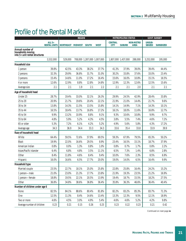# Profile of the Rental Market

|                                                                         |                                      | <b>REGION</b>    |                |                             |             |                               | <b>METROPOLITAN STATUS</b> |                                 | <b>GOVT. SUBSIDY</b>            |                   |  |
|-------------------------------------------------------------------------|--------------------------------------|------------------|----------------|-----------------------------|-------------|-------------------------------|----------------------------|---------------------------------|---------------------------------|-------------------|--|
|                                                                         | <b>ALL 5+</b><br><b>RENTAL UNITS</b> | <b>NORTHEAST</b> | <b>MIDWEST</b> | <b>SOUTH</b>                | <b>WEST</b> | <b>CENTRAL</b><br><b>CITY</b> | <b>SUBURB</b>              | <b>NON-METRO</b><br><b>AREA</b> | <b>UNSUB-</b><br><b>SIDIZED</b> | <b>SUBSIDIZED</b> |  |
| Annual number of<br>households moving<br>into 5+ unit rental structures |                                      |                  |                |                             |             |                               |                            |                                 |                                 |                   |  |
|                                                                         | 3,532,000                            | 529,000          |                | 708,000 1,287,000 1,007,000 |             |                               | 1,807,000 1,437,000        | 288,000                         | 3,252,000                       | 195,000           |  |
| <b>Household size</b>                                                   |                                      |                  |                |                             |             |                               |                            |                                 |                                 |                   |  |
| person                                                                  | 39.8%                                | 42.5%            | 43.3%          | 38.2%                       | 37.7%       | 41.3%                         | 37.9%                      | 39.0%                           | 39.4%                           | 44.4%             |  |
| 2 persons                                                               | 32.3%                                | 29.9%            | 36.8%          | 31.7%                       | 31.0%       | 30.2%                         | 33.8%                      | 37.6%                           | 33.0%                           | 23.4%             |  |
| 3 persons                                                               | 15.4%                                | 14.6%            | 11.0%          | 17.2%                       | 16.4%       | 15.6%                         | 16.0%                      | 10.8%                           | 15.1%                           | 16.5%             |  |
| 4 or more                                                               | 12.6%                                | 12.9%            | 8.8%           | 12.8%                       | 14.8%       | 12.9%                         | 12.3%                      | 12.6%                           | 12.5%                           | 15.6%             |  |
| Average size                                                            | 2.1                                  | 2.1              | 1.9            | 2.1                         | 2.2         | 2.1                           | 2.1                        | $2.0\,$                         | 2.1                             | 2.1               |  |
| Age of household head                                                   |                                      |                  |                |                             |             |                               |                            |                                 |                                 |                   |  |
| Under 25                                                                | 28.7%                                | 19.4%            | 33.0%          | 32.1%                       | 26.3%       | 29.9%                         | 24.5%                      | 42.9%                           | 28.4%                           | 33.8%             |  |
| 25 to 29                                                                | 20.9%                                | 21.7%            | 19.6%          | 20.4%                       | 22.1%       | 21.9%                         | 21.0%                      | 14.4%                           | 21.7%                           | 9.6%              |  |
| 30 to 34                                                                | 13.8%                                | 14.3%            | 11.5%          | 13.5%                       | 15.8%       | 14.1%                         | 14.9%                      | 7.1%                            | 14.3%                           | 10.1%             |  |
| 35 to 44                                                                | 16.5%                                | 18.4%            | 13.7%          | 16.8%                       | 17.2%       | 16.1%                         | 18.0%                      | 11.6%                           | 16.8%                           | 12.7%             |  |
| 45 to 54                                                                | 9.9%                                 | 13.2%            | 10.9%          | 8.8%                        | 9.1%        | 9.3%                          | 10.6%                      | 10.8%                           | 9.9%                            | 9.7%              |  |
| 55 to 64                                                                | 4.8%                                 | 5.9%             | 5.2%           | 4.3%                        | 4.5%        | 3.8%                          | 5.5%                       | 7.4%                            | 4.6%                            | 7.2%              |  |
| 65 or older                                                             | 5.3%                                 | 7.2%             | 6.1%           | 4.2%                        | 5.2%        | 4.9%                          | 5.6%                       | $5.8\%$                         | 4.3%                            | 17.2%             |  |
| Average age                                                             | 34.3                                 | 36.9             | 34.4           | 33.3                        | 34.3        | 33.6                          | 35.4                       | 33.8                            | 33.9                            | 39.9              |  |
| Race of household head                                                  |                                      |                  |                |                             |             |                               |                            |                                 |                                 |                   |  |
| White                                                                   | 64.4%                                | 59.5%            | 72.6%          | 57.9%                       | 69.5%       | 59.3%                         | 67.9%                      | 79.5%                           | 65.3%                           | 50.2%             |  |
| <b>Black</b>                                                            | 19.9%                                | 22.0%            | 16.6%          | 29.5%                       | 8.9%        | 23.4%                         | 16.5%                      | 15.1%                           | 18.7%                           | 37.9%             |  |
| American Indian                                                         | 0.8%                                 | 0.0%             | 1.3%           | 0.8%                        | 1.0%        | 0.8%                          | 0.7%                       | 1.7%                            | 0.8%                            | 2.2%              |  |
| Asian/Pacific Islander                                                  | 6.4%                                 | 6.8%             | 4.8%           | 3.5%                        | 11.1%       | 6.5%                          | 7.3%                       | 1.4%                            | 6.8%                            | 2.8%              |  |
| Other                                                                   | 8.4%                                 | 11.8%            | 4.6%           | 8.4%                        | 9.4%        | 10.0%                         | 7.6%                       | 2.3%                            | 8.5%                            | 6.9%              |  |
| Hispanic                                                                | 16.0%                                | 16.6%            | 6.5%           | 17.7%                       | 20.0%       | 19.0%                         | 14.0%                      | 6.5%                            | 16.4%                           | 9.9%              |  |
| <b>Household type</b>                                                   |                                      |                  |                |                             |             |                               |                            |                                 |                                 |                   |  |
| Married couple                                                          | 23.5%                                | 22.7%            | 18.1%          | 25.0%                       | 25.8%       | 22.8%                         | 25.8%                      | 16.4%                           | 24.2%                           | 15.2%             |  |
| 1 person-male                                                           | 21.0%                                | 23.0%            | 21.3%          | 17.7%                       | 23.8%       | 21.9%                         | 19.3%                      | 23.5%                           | 21.2%                           | $16.9\%$          |  |
| 1 person-female                                                         | 18.8%                                | 19.5%            | 22.1%          | 20.5%                       | 13.9%       | 19.4%                         | 18.7%                      | 15.5%                           | 18.2%                           | 27.5%             |  |
| Other                                                                   | 36.8%                                | 34.8%            | 38.6%          | 36.8%                       | 36.4%       | 35.8%                         | 36.3%                      | 46.6%                           | 36.4%                           | 40.4%             |  |
| Number of children under age 6                                          |                                      |                  |                |                             |             |                               |                            |                                 |                                 |                   |  |
| None                                                                    | $82.5\%$                             | 84.1%            | 88.6%          | 80.4%                       | 81.8%       | 82.2%                         | 83.2%                      | 85.3%                           | 83.7%                           | 71.3%             |  |
| One                                                                     | 12.5%                                | 11.3%            | 8.4%           | 14.6%                       | 13.4%       | 13.3%                         | 12.3%                      | 9.5%                            | 12.1%                           | 18.9%             |  |
| Two or more                                                             | 4.6%                                 | 4.5%             | 3.0%           | 4.9%                        | 5.4%        | 4.6%                          | 4.6%                       | 5.2%                            | 4.2%                            | $9.8\%$           |  |
| Average number of children                                              | 0.23                                 | 0.21             | 0.15           | $0.26\,$                    | $0.25\,$    | 0.23                          | 0.22                       | $0.23\,$                        | 0.21                            | 0.42              |  |

Continued on next page  $\blacktriangleright$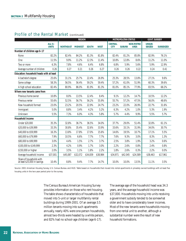|                                                          |                               |                  | <b>REGION</b>  |              |             |                               | <b>METROPOLITAN STATUS</b> |                                 | <b>GOVT. SUBSIDY</b>            |                   |
|----------------------------------------------------------|-------------------------------|------------------|----------------|--------------|-------------|-------------------------------|----------------------------|---------------------------------|---------------------------------|-------------------|
|                                                          | <b>ALL 5+</b><br><b>UNITS</b> | <b>NORTHEAST</b> | <b>MIDWEST</b> | <b>SOUTH</b> | <b>WEST</b> | <b>CENTRAL</b><br><b>CITY</b> | <b>SUBURB</b>              | <b>NON-METRO</b><br><b>AREA</b> | <b>UNSUB-</b><br><b>SIDIZED</b> | <b>SUBSIDIZED</b> |
| Number of children age 6-17                              |                               |                  |                |              |             |                               |                            |                                 |                                 |                   |
| None                                                     | 82.2%                         | 82.4%            | 84.2%          | 81.3%        | 81.8%       | 82.4%                         | 81.2%                      | 85.8%                           | 82.9%                           | 76.1%             |
| One                                                      | 11.5%                         | 9.9%             | 11.2%          | 12.3%        | 11.4%       | 10.8%                         | 12.8%                      | 8.6%                            | 11.2%                           | 11.0%             |
| Two or more                                              | 6.3%                          | 7.8%             | 4.6%           | 6.4%         | 6.8%        | 6.8%                          | 5.9%                       | 5.6%                            | 5.9%                            | 12.9%             |
| Average number of children                               | 0.26                          | 0.27             | 0.21           | 0.26         | 0.27        | 0.26                          | 0.26                       | 0.22                            | 0.24                            | 0.41              |
| Education: household heads with at least                 |                               |                  |                |              |             |                               |                            |                                 |                                 |                   |
| A bachelor's degree                                      | 25.6%                         | 31.1%            | 25.7%          | 22.4%        | 26.9%       | 25.3%                         | 28.5%                      | 13.8%                           | 27.1%                           | 9.6%              |
| Some college                                             | 58.3%                         | 56.5%            | 56.4%          | 59.2%        | 59.4%       | 57.2%                         | 61.0%                      | 51.9%                           | 60.3%                           | 39.6%             |
| A high school education                                  | 82.4%                         | 80.9%            | 86.0%          | 81.9%        | 81.3%       | 81.0%                         | 85.1%                      | 77.9%                           | 83.5%                           | 68.2%             |
| Where new tenants came from                              |                               |                  |                |              |             |                               |                            |                                 |                                 |                   |
| Previous home owner                                      | 10.8%                         | 8.0%             | 13.5%          | 12.4%        | 8.4%        | 9.1%                          | 12.2%                      | 14.7%                           | 10.5%                           | 12.2%             |
| Previous renter                                          | 55.6%                         | 52.5%            | 56.7%          | 56.2%        | 55.9%       | 55.7%                         | 57.2%                      | 47.5%                           | 56.0%                           | 48.6%             |
| New household formed                                     | 23.0%                         | 23.2%            | 20.5%          | 22.9%        | 24.7%       | 23.2%                         | 22.0%                      | 26.9%                           | 22.7%                           | 31.6%             |
| Immigrant                                                | 5.0%                          | 8.8%             | 3.4%           | 4.2%         | 5.2%        | 6.3%                          | 4.2%                       | 1.0%                            | 5.3%                            | 1.9%              |
| Unknown                                                  | 5.5%                          | 7.3%             | 6.0%           | 4.3%         | 5.8%        | 5.7%                          | 4.4%                       | 9.9%                            | 5.5%                            | 5.7%              |
| <b>Household income</b>                                  |                               |                  |                |              |             |                               |                            |                                 |                                 |                   |
| Under \$20,000                                           | 35.3%                         | 32.8%            | 36.7%          | 36.5%        | 34.0%       | 37.7%                         | 29.0%                      | 51.4%                           | 32.8%                           | 61.1%             |
| \$20,000 to \$39,999                                     | 33.3%                         | 30.8%            | 35.4%          | 32.6%        | 33.9%       | 33.6%                         | 33.1%                      | 31.9%                           | 34.0%                           | 30.7%             |
| \$40,000 to \$59,999                                     | 16.3%                         | 13.8%            | 17.8%          | 17.0%        | 15.6%       | 14.6%                         | 19.5%                      | 10.7%                           | 17.1%                           | 5.5%              |
| \$60,000 to \$79,999                                     | 7.9%                          | 10.5%            | 6.6%           | 7.7%         | 7.7%        | 7.6%                          | 9.3%                       | 3.0%                            | 8.3%                            | 1.3%              |
| \$80,000 to \$99,999                                     | 3.0%                          | 4.4%             | 1.5%           | 2.7%         | 3.7%        | 2.5%                          | 3.8%                       | 1.9%                            | 3.2%                            | 0.6%              |
| \$100,000 to \$149,999                                   | 2.3%                          | 4.2%             | 0.9%           | 1.7%         | 3.0%        | 2.2%                          | 2.6%                       | 0.8%                            | 2.4%                            | 0.8%              |
| \$150,000 or higher                                      | 2.0%                          | 3.5%             | 1.1%           | 1.8%         | 2.2%        | 1.8%                          | 2.6%                       | 0.3%                            | 2.2%                            | 0.0%              |
| Average household income                                 | \$37,001                      | \$45,087         | \$32,072       | \$34,839     | \$38,984    | \$34,971                      | \$42.045                   | \$24,589                        | \$38,463                        | \$17,961          |
| Share of households with<br>at least \$25,000 in savings | 10.4%                         | 8.8%             | 9.4%           | 7.7%         | 14.7%       | 10.0%                         | 10.0%                      | 13.5%                           | 11.1%                           | 3.5%              |

#### Profile of the Rental Market *(continued)*

Source: 2001 American Housing Survey, U.S. Census Bureau and HUD. Table based on households that moved into rental apartments in privately owned buildings with at least five housing units in the two-year period prior to the survey.

> The Census Bureau's American Housing Survey provides information on those who rent housing. The table shows characteristics of households that moved into 5-unit or larger multifamily rental buildings during 1999-2001. Of an average 3.5 million tenants moving into such apartments annually, nearly 40% were one-person households, almost two-thirds were headed by a white person, and 82% had no school-age children (age 6-17).

The average age of the household head was 34.3 years, and the average household income was \$37,000. Households moving into units receiving a government subsidy tended to be somewhat older and to have considerably lower incomes. Most of the new tenants were households moving from one rental unit to another, although a substantial number were the result of new household formations.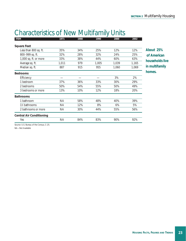# Characteristics of New Multifamily Units

| <b>ITEM</b>                     | 1971  | 1980 | 1990  | 2000  | 2002  |
|---------------------------------|-------|------|-------|-------|-------|
|                                 |       |      |       |       |       |
| <b>Square Feet</b>              |       |      |       |       |       |
| Less than 800 sq. ft.           | 35%   | 34%  | 25%   | 12%   | 12%   |
| 800-999 sq. ft.                 | 32%   | 28%  | 32%   | 24%   | 25%   |
| 1,000 sq. ft. or more           | 33%   | 38%  | 44%   | 60%   | 63%   |
| Average sq. ft.                 | 1,011 | 979  | 1,005 | 1,039 | 1,165 |
| Median sq. ft.                  | 887   | 915  | 955   | 1,060 | 1,069 |
| <b>Bedrooms</b>                 |       |      |       |       |       |
| Efficiency                      |       |      |       | 3%    | 2%    |
| 1 bedroom                       | 37%   | 36%  | 33%   | 30%   | 29%   |
| 2 bedrooms                      | 50%   | 54%  | 55%   | 50%   | 49%   |
| 3 bedrooms or more              | 13%   | 10%  | 12%   | 18%   | 20%   |
| <b>Bathrooms</b>                |       |      |       |       |       |
| 1 bathroom                      | NA    | 58%  | 48%   | 40%   | 39%   |
| 1½ bathrooms                    | NA    | 12%  | 8%    | 6%    | 5%    |
| 2 bathrooms or more             | NA    | 30%  | 44%   | 55%   | 56%   |
| <b>Central Air Conditioning</b> |       |      |       |       |       |
| Yes                             | NA    | 84%  | 83%   | 90%   | 92%   |

**About 25% of American households live in multifamily homes.**

Source: U.S. Bureau of the Census, C-25.

NA—Not Available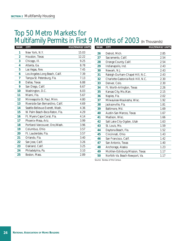# Top 50 Metro Markets for Multifamily Permits in First 9 Months of 2003 *(In Thousands)*

| <b>RANK</b>    | <b>CITY</b>                      | MULTIFAMILY UNITS |
|----------------|----------------------------------|-------------------|
| 1              | New York, N.Y.                   | 15.03             |
| $\overline{2}$ | Houston, Texas                   | 12.22             |
| 3              | Chicago, Ill.                    | 9.25              |
| 4              | Atlanta, Ga.                     | 8.78              |
| 5              | Las Vegas, Nev.                  | 7.45              |
| 6              | Los Angeles-Long Beach, Calif.   | 7.39              |
| 7              | Tampa-St. Petersburg, Fla.       | 7.13              |
| 8              | Dallas, Texas                    | 6.88              |
| 9              | San Diego, Calif.                | 6.67              |
| 10             | Washington, D.C.                 | 6.03              |
| 11             | Miami, Fla.                      | 5.67              |
| 12             | Minneapolis-St. Paul, Minn.      | 4.80              |
| 13             | Riverside-San Bernardino, Calif. | 4.69              |
| 14             | Seattle-Bellevue-Everett, Wash.  | 4.36              |
| 15             | W. Palm Beach-Boca Raton, Fla.   | 4.29              |
| 16             | Ft. Myers-Cape Coral, Fla.       | 4.14              |
| 17             | Phoenix-Mesa, Ariz.              | 3.99              |
| 18             | Portland-Vancouver, Ore./Wash.   | 3.96              |
| 19             | Columbus, Ohio                   | 3.57              |
| 20             | Ft. Lauderdale, Fla.             | 3.57              |
| 21             | Orlando, Fla.                    | 3.40              |
| 22             | San Jose, Calif.                 | 3.26              |
| 23             | Oakland, Calif.                  | 3.25              |
| 24             | Philadelphia, Pa.                | 3.10              |
| 25             | Boston, Mass.                    | 2.89              |
|                |                                  |                   |

| <b>RANK</b> | <b>CITY</b>                        | <b>MULTIFAMILY UNITS</b> |
|-------------|------------------------------------|--------------------------|
| 26          | Detroit, Mich.                     | 2.85                     |
| 27          | Sacramento, Calif.                 | 2.54                     |
| 28          | Orange County, Calif.              | 2.54                     |
| 29          | Indianapolis, Ind.                 | 2.43                     |
| 30          | Newark, N.J.                       | 2.43                     |
| 31          | Raleigh-Durham-Chapel Hill, N.C.   | 2.43                     |
| 32          | Charlotte-Gastonia-Rock Hill, N.C. | 2.30                     |
| 33          | Denver, Colo.                      | 2.30                     |
| 34          | Ft. Worth-Arlington, Texas         | 2.26                     |
| 35          | Kansas City, Mo./Kan.              | 2.15                     |
| 36          | Naples, Fla.                       | 2.02                     |
| 37          | Milwaukee-Waukesha, Wisc.          | 1.92                     |
| 38          | Jacksonville, Fla.                 | 1.81                     |
| 39          | Baltimore, Md.                     | 1.69                     |
| 40          | Austin-San Marcos, Texas           | 1.67                     |
| 41          | Madison, Wisc.                     | 1.66                     |
| 42          | Salt Lake City-Ogden, Utah         | 1.63                     |
| 43          | St. Louis, Mo.                     | 1.59                     |
| 44          | Daytona Beach, Fla.                | 1.52                     |
| 45          | Cincinnati, Ohio                   | 1.43                     |
| 46          | San Francisco, Calif.              | 1.42                     |
| 47          | San Antonio, Texas                 | 1.40                     |
| 48          | Anchorage, Alaska                  | 1.23                     |
| 49          | McAllen-Edinburg-Mission, Texas    | 1.17                     |
| 50          | Norfolk-Va. Beach-Newport, Va.     | 1.17                     |
|             |                                    |                          |

Source: Bureau of the Census.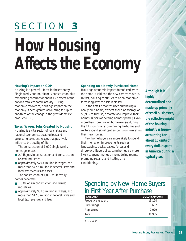# SECTION **3**

# **How Housing Affects the Economy**

#### **Housing's Impact on GDP**

Housing is a powerful force in the economy. Single-family and multifamily construction plus remodeling account for about 15 percent of the nation's total economic activity. During economic recoveries, housing's impact on the economy is even greater, accounting for up to one-third of the change in the gross domestic product (GDP).

#### **Taxes, Wages, Jobs Created by Housing**

Housing is a vital sector of local, state and national economies, creating jobs and generating taxes and wages that positively influence the quality of life.

The construction of 1,000 single-family homes generates:

- 2,448 jobs in construction and constructionrelated industries
- approximately \$79.4 million in wages, and more than \$42.5 million in federal, state and local tax revenues and fees The construction of 1,000 multifamily

homes generates:

- 1,030 jobs in construction and related industries
- approximately \$33.5 million in wages, and more than \$17.8 million in federal, state and local tax revenues and fees

#### **Spending on a Newly Purchased Home**

Housing's economic impact doesn't end when the home is sold and the new owners move in. In fact, housing continues to be an economic force long after the sale is closed.

In the first 12 months after purchasing a newly built home, owners spend an average of \$8,905 to furnish, decorate and improve their homes. Buyers of existing homes spend \$3,766 more than non-moving home owners during the 12 months after purchasing the home, and renters spend significant amounts on furnishing their new homes.

New home buyers are more likely to spend their money on improvements such as landscaping, decks, patios, fences and driveways. Buyers of existing homes are more likely to spend money on remodeling rooms, plumbing repairs, and heating or air conditioning.

**Although it is highly decentralized and made up primarily of small businesses, the collective might of the housing industry is huge accounting for about 15 cents of every dollar spent in America during a typical year.**

### Spending by New Home Buyers in First Year After Purchase

| <b>CATEGORY</b>      | <b>DOLLAR AMOUNT</b> |
|----------------------|----------------------|
| Property alterations | \$3,194              |
| Furnishings          | 3,632                |
| Appliances           | 2,079                |
| Total                | \$8,905              |

Source: NAHB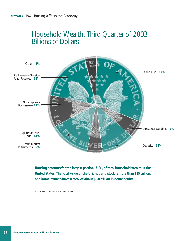# Household Wealth, Third Quarter of 2003 Billions of Dollars



**Housing accounts for the largest portion, 31%, of total household wealth in the United States. The total value of the U.S. housing stock is more than \$15 trillion, and home owners have a total of about \$8.0 trillion in home equity.**

Source: Federal Reserve Flow of Funds report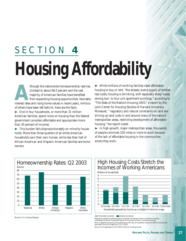# SECTION **4 Housing Affordability**

Ithough the nationwide homeownership rate has<br>
climbed to about 68.0 percent and the vast<br>
majority of American families have benefited<br>
from expanding housing opportunities, favorable<br>
interest rates and rising home value climbed to about 68.0 percent and the vast majority of American families have benefited from expanding housing opportunities, favorable of others have been left behind. Here are the facts:  $\triangleright$  One in four households, or more than 31 million

American families, spend more on housing than the federal government considers affordable and appropriate (more than 30 percent of income).

® This burden falls disproportionately on minority households. More than three-quarters of all white American households own their own homes, while less than half of African American and Hispanic American families are home owners.

® While millions of working families need affordable housing to buy or rent, "the already scarce supply of smaller, less costly housing is shrinking, with especially sharp losses among two- to four-unit apartment buildings," according to "The State of the Nation's Housing 2003," a report by the Joint Center for Housing Studies of Harvard University. Moreover, " regulatory and natural constraints on land are driving up land costs in and around many of the nation's metropolitan areas, restricting development of affordable housing," the report noted.

 $\blacktriangleright$  In high-growth, major metropolitan areas, thousands of people commute 100 miles or more to work because of the lack of affordable housing in the communities where they work.





Severely burdened households spend more than 50 percent of their incomes on housing; moderately burdened households spend 30-50 percent of their incomes on housing Note: Categories are groups of households by the ratio of household income to the full-time annual equivalent minimum wage (\$10,712 in 2001).

Source: JCHS tabulations of the 2001 American Housing Survey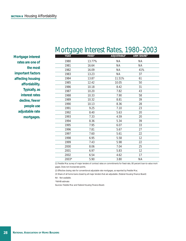# Mortgage Interest Rates, 1980–2003

<sub>6</sub> Fousing A<br>Борбор<br>Mortgage interest **rates are one of the most important factors affecting housing affordability. Typically, as interest rates decline, fewer people use adjustable rate mortgages.**

| J<br>- J    |                    |                         |                   |  |
|-------------|--------------------|-------------------------|-------------------|--|
| <b>YEAR</b> | FIXED <sup>1</sup> | ADJUSTABLE <sup>2</sup> | <b>ARM SHARE3</b> |  |
| 1980        | 13.77%             | <b>NA</b>               | NA                |  |
| 1981        | 16.64              | <b>NA</b>               | <b>NA</b>         |  |
| 1982        | 16.09              | <b>NA</b>               | 41%               |  |
| 1983        | 13.23              | <b>NA</b>               | 37                |  |
| 1984        | 13.87              | 11.51%                  | 61                |  |
| 1985        | 12.42              | 10.05                   | 50                |  |
| 1986        | 10.18              | 8.42                    | 31                |  |
| 1987        | 10.20              | 7.82                    | 43                |  |
| 1988        | 10.33              | 7.90                    | 58                |  |
| 1989        | 10.32              | 8.81                    | 39                |  |
| 1990        | 10.13              | 8.36                    | 28                |  |
| 1991        | 9.25               | 7.10                    | 23                |  |
| 1992        | 8.40               | 5.63                    | 20                |  |
| 1993        | 7.33               | 4.59                    | 20                |  |
| 1994        | 8.36               | 5.34                    | 39                |  |
| 1995        | 7.95               | 6.07                    | 33                |  |
| 1996        | 7.81               | 5.67                    | 27                |  |
| 1997        | 7.60               | 5.61                    | 22                |  |
| 1998        | 6.95               | 5.58                    | 12                |  |
| 1999        | 7.43               | 5.98                    | 22                |  |
| 2000        | 8.06               | 7.04                    | 25                |  |
| 2001        | 6.97               | 5.83                    | 12                |  |
| 2002        | 6.54               | 4.62                    | 17                |  |
| 2003*       | 5.90               | 3.80                    | NA                |  |

(1) Freddie Mac survey of major lenders of contract rates on commitments for fixed-rate, 80 percent loan-to-value mortgages. Does not incorporate points.

(2) Effective closing rate for conventional adjustable rate mortgages, as reported by Freddie Mac.

(3) Share of all home loans closed by all major lenders that are adjustable. (Federal Housing Finance Board)

NA - Not available.

\*NAHB estimate

Sources: Freddie Mac and Federal Housing Finance Board.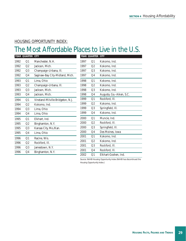#### HOUSING OPPORTUNITY INDEX:

#### The Most Affordable Places to Live in the U.S. **YEAR QUARTER CITY**

|      | LAN QUANILIN | ᠁                                 |
|------|--------------|-----------------------------------|
| 1992 | Q1           | Manchester, N.H.                  |
| 1992 | Q2           | Jackson, Mich.                    |
| 1992 | Q3           | Champaign-Urbana, Ill.            |
| 1992 | Q4           | Saginaw-Bay City-Midland, Mich.   |
| 1993 | Q1           | Lima, Ohio                        |
| 1993 | Q2           | Champaign-Urbana, Ill.            |
| 1993 | Q3           | Jackson, Mich.                    |
| 1993 | Q4           | Jackson, Mich.                    |
| 1994 | Q1           | Vineland-Milville-Bridgeton, N.J. |
| 1994 | Q2           | Kokomo, Ind.                      |
| 1994 | Q3           | Lima, Ohio                        |
| 1994 | Q4           | Lima, Ohio                        |
| 1995 | Q1           | Elkhart, Ind.                     |
| 1995 | Q2           | Binghamton, N.Y.                  |
| 1995 | Q3           | Kansas City, Mo./Kan.             |
| 1995 | Q4           | Lima, Ohio                        |
| 1996 | Q1           | Racine, Wis.                      |
| 1996 | Q2           | Rockford, Ill.                    |
| 1996 | Q3           | Jamestown, N.Y.                   |
| 1996 | Q4           | Binghamton, N.Y.                  |
|      |              |                                   |

| <b>YEAR</b> | <b>QUARTER</b> | <b>CITY</b>              |
|-------------|----------------|--------------------------|
| 1997        | Q1             | Kokomo, Ind.             |
| 1997        | Q2             | Kokomo, Ind.             |
| 1997        | Q3             | Kokomo, Ind.             |
| 1997        | Q4             | Kokomo, Ind.             |
| 1998        | Q1             | Kokomo, Ind.             |
| 1998        | Q2             | Kokomo, Ind.             |
| 1998        | Q3             | Kokomo, Ind.             |
| 1998        | Q4             | Augusta, Ga.-Aiken, S.C. |
| 1999        | Q1             | Rockford, Ill.           |
| 1999        | Q2             | Kokomo, Ind.             |
| 1999        | Q3             | Springfield, Ill.        |
| 1999        | Q4             | Kokomo, Ind.             |
| 2000        | Q1             | Muncie, Ind.             |
| 2000        | Q2             | Rockford, Ill.           |
| 2000        | Q3             | Springfield, Ill.        |
| 2000        | Q4             | Des Moines, Iowa         |
| 2001        | Q1             | Kokomo, Ind.             |
| 2001        | Q2             | Kokomo, Ind.             |
| 2001        | Q3             | Rockford, Ill.           |
| 2001        | Q4             | Rockford, Ill.           |
| 2002        | Q1             | Elkhart-Goshen, Ind.     |

Source: NAHB Housing Opportunity Index (NAHB has discontinued the Housing Opportunity Index.)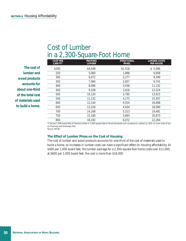# Cost of Lumber in a 2,300-Square-Foot Home

**The cost of lumber and wood products accounts for about one-third of the total cost of materials used to build a home.**

| <b>COST PER</b><br>1,000 FT* | <b>FRAMING</b><br><b>LUMBER</b> | <b>STRUCTURAL</b><br><b>PANEL</b> | <b>LUMBER COSTS</b><br><b>PER HOUSE</b> |
|------------------------------|---------------------------------|-----------------------------------|-----------------------------------------|
| \$200                        | \$4,048                         | \$1,518                           | \$5,566                                 |
| 250                          | 5,060                           | 1.898                             | 6,958                                   |
| 300                          | 6,072                           | 2,277                             | 8,349                                   |
| 350                          | 7,084                           | 2,657                             | 9,741                                   |
| 400                          | 8.096                           | 3,036                             | 11,132                                  |
| 450                          | 9,108                           | 3,416                             | 12,524                                  |
| 500                          | 10,120                          | 3,795                             | 13,915                                  |
| 550                          | 11,132                          | 4,175                             | 15,307                                  |
| 600                          | 12,144                          | 4,554                             | 16,698                                  |
| 650                          | 13,156                          | 4,934                             | 18,090                                  |
| 700                          | 14,168                          | 5,313                             | 19,481                                  |
| 750                          | 15,180                          | 5,693                             | 20,873                                  |
| 800                          | 16,192                          | 6.072                             | 22,264                                  |

\*Cost per 1,000 board-feet of framing lumber or 1,000 square feet of structural panels such as plywood, marked up 10% to cover costs of taxes, financing and brokerage fees. Source: NAHB.

#### **The Effect of Lumber Prices on the Cost of Housing**

The cost of lumber and wood products accounts for one-third of the cost of materials used to build a home, so increases in lumber costs can have a significant effect on housing affordability. At \$400 per 1,000 board feet, the lumber package for a 2,300-square-foot home costs over \$11,000; at \$600 per 1,000 board feet, the cost is more than \$16,000.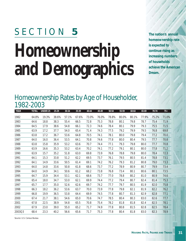# SECTION **5**

# **Homeownership and Demographics**

**The nation's annual homeownership rate is expected to continue rising as increasing numbers of households achieve the American Dream.**

### Homeownership Rates by Age of Householder, 1982-2003

| <b>YEAR</b> | <b>TOTAL</b> | <b>UNDER 25</b> | 25-29 | 30-34 | 35-39 | 40-44 | 45-49 | 50-54 | 55-59 | 60-64 | 65-69 | 70-74 | $75+$ |
|-------------|--------------|-----------------|-------|-------|-------|-------|-------|-------|-------|-------|-------|-------|-------|
| 1982        | 64.8%        | 19.3%           | 38.6% | 57.1% | 67.6% | 73.0% | 76.0% | 78.8% | 80.0% | 80.1% | 77.9% | 75.2% | 71.0% |
| 1983        | 64.6         | 18.8            | 38.3  | 55.4  | 66.5  | 72.8  | 75.3  | 78.8  | 80.1  | 79.8  | 78.7  | 75.4  | 71.9  |
| 1984        | 64.5         | 17.9            | 38.6  | 54.8  | 66.1  | 72.3  | 74.6  | 78.4  | 80.1  | 79.9  | 79.3  | 75.5  | 71.5  |
| 1985        | 63.9         | 17.2            | 37.7  | 54.0  | 65.4  | 71.4  | 74.3  | 77.5  | 79.2  | 79.9  | 79.5  | 76.8  | 69.8  |
| 1986        | 63.8         | 17.2            | 36.7  | 53.6  | 64.8  | 70.5  | 74.1  | 78.1  | 80.0  | 79.8  | 79.4  | 77.2  | 70.0  |
| 1987        | 64.0         | 16.0            | 36.4  | 53.5  | 64.1  | 70.8  | 74.6  | 77.8  | 80.0  | 80.4  | 79.5  | 77.7  | 70.8  |
| 1988        | 63.8         | 15.8            | 35.9  | 53.2  | 63.6  | 70.7  | 74.4  | 77.1  | 79.3  | 79.8  | 80.0  | 77.7  | 70.8  |
| 1989        | 63.9         | 16.6            | 35.3  | 53.2  | 63.4  | 70.2  | 74.1  | 77.2  | 79.1  | 80.1  | 80.0  | 77.8  | 71.2  |
| 1990        | 63.9         | 15.7            | 35.2  | 51.8  | 63.0  | 69.8  | 73.9  | 76.8  | 78.8  | 79.8  | 80.0  | 78.4  | 72.3  |
| 1991        | 64.1         | 15.3            | 33.8  | 51.2  | 62.2  | 69.5  | 73.7  | 76.1  | 79.5  | 80.5  | 81.4  | 78.8  | 73.1  |
| 1992        | 64.1         | 14.9            | 33.6  | 50.5  | 61.4  | 69.1  | 74.2  | 76.2  | 79.3  | 81.2  | 80.8  | 79.0  | 73.3  |
| 1993        | 64.0         | 14.8            | 33.6  | 50.8  | 61.8  | 68.6  | 73.7  | 77.2  | 78.9  | 80.9  | 80.7  | 79.9  | 73.4  |
| 1994        | 64.0         | 14.9            | 34.1  | 50.6  | 61.2  | 68.2  | 73.8  | 76.8  | 73.4  | 80.1  | 80.6  | 80.1  | 73.5  |
| 1995        | 64.7         | 15.9            | 34.4  | 53.1  | 62.1  | 68.6  | 73.7  | 77.0  | 78.8  | 80.2  | 81.0  | 80.9  | 74.6  |
| 1996        | 65.4         | 18.0            | 34.7  | 53.0  | 62.1  | 69.9  | 74.4  | 77.2  | 79.4  | 80.7  | 82.4  | 81.4  | 75.3  |
| 1997        | 65.7         | 17.7            | 35.0  | 52.6  | 62.6  | 69.7  | 74.2  | 77.7  | 79.7  | 80.5  | 81.9  | 82.0  | 75.8  |
| 1998        | 66.3         | 18.2            | 36.2  | 53.6  | 63.7  | 70.0  | 73.9  | 77.8  | 79.8  | 82.1  | 81.9  | 82.2  | 76.2  |
| 1999        | 66.8         | 19.9            | 36.5  | 53.8  | 64.4  | 69.9  | 74.5  | 77.8  | 80.7  | 81.3  | 82.9  | 82.8  | 77.1  |
| 2000        | 67.4         | 21.7            | 38.1  | 54.6  | 65.0  | 70.6  | 74.7  | 78.5  | 80.4  | 80.3  | 83.0  | 82.6  | 77.7  |
| 2001        | 67.8         | 22.5            | 38.9  | 54.8  | 65.5  | 70.8  | 75.4  | 78.2  | 81.8  | 81.8  | 82.4  | 82.5  | 78.1  |
| 2002        | 67.9         | 23.0            | 39.0  | 55.0  | 65.2  | 71.7  | 74.9  | 77.8  | 80.8  | 81.5  | 82.8  | 82.5  | 78.4  |
| 2003Q3      | 68.4         | 23.3            | 40.2  | 56.6  | 65.6  | 71.7  | 75.3  | 77.8  | 80.4  | 81.8  | 83.0  | 82.3  | 78.9  |

Source: U.S. Census Bureau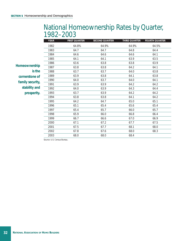# National Homeownership Rates by Quarter, 1982–2003

| <b>YEAR</b> | <b>FIRST QUARTER</b> | <b>SECOND QUARTER</b> | <b>THIRD QUARTER</b> | <b>FOURTH QUARTER</b> |
|-------------|----------------------|-----------------------|----------------------|-----------------------|
| 1982        | 64.8%                | 64.9%                 | 64.9%                | 64.5%                 |
| 1983        | 64.7                 | 64.7                  | 64.8                 | 64.4                  |
| 1984        | 64.6                 | 64.6                  | 64.6                 | 64.1                  |
| 1985        | 64.1                 | 64.1                  | 63.9                 | 63.5                  |
| 1986        | 63.6                 | 63.8                  | 63.8                 | 63.9                  |
| 1987        | 63.8                 | 63.8                  | 64.2                 | 64.1                  |
| 1988        | 63.7                 | 63.7                  | 64.0                 | 63.8                  |
| 1989        | 63.9                 | 63.8                  | 64.1                 | 63.8                  |
| 1990        | 64.0                 | 63.7                  | 64.0                 | 64.1                  |
| 1991        | 63.9                 | 63.9                  | 64.2                 | 64.2                  |
| 1992        | 64.0                 | 63.9                  | 64.3                 | 64.4                  |
| 1993        | 63.7                 | 63.9                  | 64.2                 | 64.2                  |
| 1994        | 63.8                 | 63.8                  | 64.1                 | 64.2                  |
| 1995        | 64.2                 | 64.7                  | 65.0                 | 65.1                  |
| 1996        | 65.1                 | 65.4                  | 65.6                 | 65.4                  |
| 1997        | 65.4                 | 65.7                  | 66.0                 | 65.7                  |
| 1998        | 65.9                 | 66.0                  | 66.8                 | 66.4                  |
| 1999        | 66.7                 | 66.6                  | 67.0                 | 66.9                  |
| 2000        | 67.1                 | 67.2                  | 67.7                 | 67.5                  |
| 2001        | 67.5                 | 67.7                  | 68.1                 | 68.0                  |
| 2002        | 67.8                 | 67.6                  | 68.0                 | 68.3                  |
| 2003        | 68.0                 | 68.0                  | 68.4                 |                       |
|             |                      |                       |                      |                       |

**Homeownership**

**is the**

**cornerstone of**

**family security,**

**stability and**

**prosperity.**

Source: U.S. Census Bureau.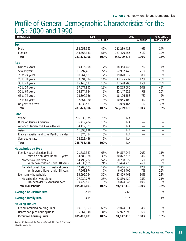# Profile of General Demographic Characteristics for the U.S.: 2000 and 1990

| <b>POPULATION</b>                                         | 2000                     |            | 1990                     | % CHANGE                 |               |
|-----------------------------------------------------------|--------------------------|------------|--------------------------|--------------------------|---------------|
|                                                           |                          | % SHARE    |                          | % SHARE                  | 2000 VS. 1990 |
| <b>Sex</b>                                                |                          |            |                          |                          |               |
| Male                                                      | 138,053,563              | 49%        | 121,239,418              | 49%                      | 14%           |
| Female                                                    | 143,368,343              | 51%        | 127,470,455              | 51%                      | 12%           |
| <b>Total</b>                                              | 281,421,906              | 100%       | 248,709,873              | 100%                     | 13%           |
| Age                                                       |                          |            |                          |                          |               |
| Under 5 years                                             | 19,175,798               | 7%         | 18,354,443               | 7%                       | 4%            |
| 5 to 19 years                                             | 61,297,467               | 22%        | 52,967,443               | 21%                      | 16%           |
| 20 to 24 years                                            | 18,964,001               | 7%         | 19,020,312               | 8%                       | 0%            |
| 25 to 34 years                                            | 39,891,724               | 14%        | 43,175,932               | 17%                      | $-8%$         |
| 35 to 44 years                                            | 45,148,527               | 16%        | 37,578,903               | 15%                      | 20%           |
| 45 to 54 years                                            | 37,677,952               | 13%        | 25,223,086               | 10%                      | 49%           |
| 55 to 64 years                                            | 24,274,684               | 9%         | 21,147,923               | 9%                       | 15%           |
| 65 to 74 years                                            | 18,390,986               | 7%         | 18,106,558               | 7%                       | 2%            |
| 75 to 84 years                                            | 12,361,180               | 4%         | 10,055,108               | 4%                       | 23%           |
| 85 years and over                                         | 4,239,587                | 2%         | 3,080,165                | 1%                       | 38%           |
| <b>Total</b>                                              | 281,421,906              | 100%       | 248,709,873              | 100%                     | 13%           |
| Race                                                      |                          |            |                          |                          |               |
| White                                                     | 216,930,975              | 75%        | <b>NA</b>                |                          |               |
| <b>Black or African American</b>                          | 36,419,434               | 13%        | <b>NA</b>                |                          |               |
| American Indian and Alaska Native                         | 4,119,301                | 1%         | <b>NA</b>                |                          |               |
| Asian                                                     | 11,898,828               | 4%         | <b>NA</b>                |                          |               |
| Native Hawaiian and other Pacific Islander                | 874,414                  | 0%         | <b>NA</b>                | $\overline{\phantom{0}}$ |               |
| Some other race                                           | 18,521,486               | 6%         | <b>NA</b>                |                          |               |
| <b>Total</b>                                              | 288,764,438              | 100%       | <b>NA</b>                |                          |               |
| <b>Households by Type</b>                                 |                          |            |                          |                          |               |
| Family households (families)                              | 71,787,347               | 68%        | 64,517,947               | 70%                      | 11%           |
| With own children under 18 years                          | 34,588,368               | 33%        | 30,877,675               | 34%                      | 12%           |
| Married-couple family<br>With own children under 18 years | 54,493,232<br>24,835,505 | 52%<br>24% | 50,708,322<br>23,494,726 | 55%<br>26%               | 7%<br>$6\%$   |
| Female householder, no husband present                    | 12,900,103               | 12%        | 10,666,043               | 12%                      | 21%           |
| With own children under 18 years                          | 7,561,874                | 7%         | 6,028,409                | 7%                       | 25%           |
| Non-family households                                     | 33,692,754               | 32%        | 27,429,463               | 30%                      | 23%           |
| Householder living alone                                  | 27,230,075               | 26%        | 22,580,420               | 25%                      | 21%           |
| Householder 65 years and over                             | 9,722,857                | 9%         | 8,824,845                | 10%                      | 10%           |
| <b>Total Households</b>                                   | 105,480,101              | 100%       | 91,947,410               | 100%                     | 15%           |
| <b>Average household size</b>                             | 2.59                     |            | 2.63                     |                          | $-2%$         |
| <b>Average family size</b>                                | 3.14                     |            | 3.16                     |                          | $-1%$         |
| <b>Housing Tenure</b>                                     |                          |            |                          |                          |               |
| Owner-occupied housing units                              | 69,815,753               | 66%        | 59,024,811               | 64%                      | 18%           |
| Renter-occupied housing units                             | 35,664,348               | 34%        | 32,922,599               | 36%                      | $8\%$         |
| <b>Occupied housing units</b>                             | 105,480,101              | 100%       | 91,947,410               | 100%                     | 15%           |

Source: US Bureau of the Census. Compiled by NAHB Economics. NA—Not available.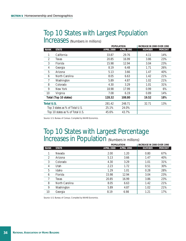# Top 10 States with Largest Population

Increases *(Numbers in millions)*

|                   |                                  |                   | <b>POPULATION</b> | INCREASE IN 2000 OVER 1990 |                |
|-------------------|----------------------------------|-------------------|-------------------|----------------------------|----------------|
| <b>RANK</b>       | <b>STATE</b>                     | <b>APRIL 2000</b> | <b>APRIL 1990</b> | <b>NUMBER</b>              | <b>PERCENT</b> |
| 1                 | California                       | 33.87             | 29.76             | 4.11                       | 14%            |
| $\mathbf{2}$      | Texas                            | 20.85             | 16.99             | 3.86                       | 23%            |
| 3                 | Florida                          | 15.98             | 12.94             | 3.04                       | 23%            |
| 4                 | Georgia                          | 8.19              | 6.48              | 1.71                       | 26%            |
| 5                 | Arizona                          | 5.13              | 3.66              | 1.47                       | 40%            |
| 6                 | North Carolina                   | 8.05              | 6.63              | 1.42                       | 21%            |
| 7                 | Washington                       | 5.89              | 4.87              | 1.02                       | 21%            |
| 8                 | Colorado                         | 4.30              | 3.29              | 1.01                       | 31%            |
| 9                 | New York                         | 18.98             | 17.99             | 0.99                       | 6%             |
| 10                | Virginia                         | 7.08              | 6.19              | 0.89                       | 14%            |
|                   | Total (Top 10 states)            | 128.32            | 108.80            | 19.52                      | 18%            |
| <b>Total U.S.</b> |                                  | 281.42            | 248.71            | 32.71                      | 13%            |
|                   | Top 3 states as % of Total U.S.  | 25.1%             | 24.0%             |                            |                |
|                   | Top 10 states as % of Total U.S. | 45.6%             | 43.7%             |                            |                |

Source: U.S. Bureau of Census. Compiled by NAHB Economics.

### Top 10 States with Largest Percentage Increases in Population *(Numbers in millions)*

|             |                | <b>POPULATION</b> |                   | INCREASE IN 2000 OVER 1990 |                |
|-------------|----------------|-------------------|-------------------|----------------------------|----------------|
| <b>RANK</b> | <b>STATE</b>   | <b>APRIL 2000</b> | <b>APRIL 1990</b> | <b>NUMBER</b>              | <b>PERCENT</b> |
|             | Nevada         | 2.00              | 1.20              | 0.80                       | 67%            |
| 2           | Arizona        | 5.13              | 3.66              | 1.47                       | 40%            |
| 3           | Colorado       | 4.30              | 3.29              | 1.01                       | 31%            |
| 4           | Utah           | 2.23              | 1.72              | 0.51                       | 30%            |
| 5           | Idaho          | 1.29              | 1.01              | 0.28                       | 28%            |
| 6           | Florida        | 15.98             | 12.94             | 3.04                       | 23%            |
| 7           | Texas          | 20.85             | 16.99             | 3.86                       | 23%            |
| 8           | North Carolina | 8.05              | 6.63              | 1.42                       | 21%            |
| 9           | Washington     | 5.89              | 4.87              | 1.02                       | 21%            |
| 10          | Georgia        | 8.19              | 6.98              | 1.21                       | 17%            |

Source: U.S. Bureau of Census. Compiled by NAHB Economics.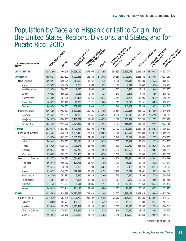### Population by Race and Hispanic or Latino Origin, for the United States, Regions, Divisions, and States, and for Puerto Rico: 2000 C<sub>B</sub>

|                                              |             | LOTAL POPULATION        | <b>PATRICAL AVAILAB</b> |           | <b>PARKER AND ANNIVER</b> | I AMERICAN HANDWATCH |            |                | <b>INDORMORE RACES</b> | I DOMESTIC OR A MINUS<br><b>MATHEMATICAL ARTISTS</b> |
|----------------------------------------------|-------------|-------------------------|-------------------------|-----------|---------------------------|----------------------|------------|----------------|------------------------|------------------------------------------------------|
| <b>U.S. REGION/DIVISION/</b><br><b>STATE</b> |             | WHITE                   |                         |           |                           |                      |            | Someonica RACE |                        |                                                      |
| <b>UNITED STATES</b>                         |             | 281,421,906 211,460,626 | 34,658,190              | 2,475,956 | 10,242,998                | 398,835              | 15,359,073 | 6,826,228      |                        | 35, 305, 818 194, 552, 774                           |
| <b>NORTHEAST</b>                             | 53,594,378  | 41,533,502              | 6,099,881               | 162,558   | 2,119,426                 | 20,880               | 2,429,670  | 1,228,461      | 5,254,087              | 39,327,262                                           |
| <b>New England</b>                           | 13,922,517  | 12,050,905              | 719,063                 | 42,257    | 374,361                   | 5,316                | 448,315    | 282,300        | 875,225                | 11,686,617                                           |
| Maine                                        | 1,274,923   | 1,236,014               | 6,760                   | 7,098     | 9,111                     | 382                  | 2,911      | 12,647         | 9,360                  | 1,230,297                                            |
| New Hampshire                                | 1,235,786   | 1,186,851               | 9,035                   | 2,964     | 15,931                    | 371                  | 7,420      | 13,214         | 20,489                 | 1,175,252                                            |
| Vermont                                      | 608,827     | 589,208                 | 3,063                   | 2,420     | 5,217                     | 141                  | 1,443      | 7,335          | 5,504                  | 585,431                                              |
| Massachusetts                                | 6,349,097   | 5,367,286               | 343,454                 | 15,015    | 238,124                   | 2,489                | 236,724    | 146,005        | 428,729                | 5,198,359                                            |
| Rhode Island                                 | 1,048,319   | 891,191                 | 46,908                  | 5,121     | 23,665                    | 567                  | 52,616     | 28,251         | 90,820                 | 858,433                                              |
| Connecticut                                  | 3,405,565   | 2,780,355               | 309,843                 | 9,639     | 82,313                    | 1,366                | 147,201    | 74,848         | 320,323                | 2,638,845                                            |
| <b>Middle Atlantic</b>                       | 39,671,861  | 29,482,597              | 5,380,818               | 120,301   | 1,745,065                 | 15,564               | 1,981,355  | 946,161        | 4,378,862              | 27,640,645                                           |
| New York                                     | 18,976,457  | 12,893,689              | 3,014,385               | 82,461    | 1,044,976                 | 8,818                | 1,341,946  | 590,182        | 2,867,583              | 11,760,981                                           |
| New Jersey                                   | 8,414,350   | 6,104,705               | 1,141,821               | 19,492    | 480,276                   | 3,329                | 450,972    | 213,755        | 1,117,191              | 5,557,209                                            |
| Pennsylvania                                 | 12,281,054  | 10,484,203              | 1,224,612               | 18,348    | 219,813                   | 3,417                | 188,437    | 142,224        | 394,088                | 10,322,455                                           |
| <b>MIDWEST</b>                               | 64,392,776  | 53,833,651              | 6,499,733               | 399,490   | 1,197,554                 | 22,492               | 1,417,388  | 1,022,468      | 3,124,532              | 52,386,131                                           |
| <b>East North Central</b>                    | 45,155,037  | 36,826,856              | 5,405,418               | 177,014   | 880,635                   | 13,686               | 1,123,544  | 727,884        | 2,478,719              | 35,669,945                                           |
| Ohio                                         | 11,353,140  | 9,645,453               | 1,301,307               | 24,486    | 132,633                   | 2,749                | 88,627     | 157,885        | 217,123                | 9,538,111                                            |
| Indiana                                      | 6,080,485   | 5,320,022               | 510,034                 | 15,815    | 59,126                    | 2,005                | 97,811     | 75,672         | 214,536                | 5,219,373                                            |
| Illinois                                     | 12,419,293  | 9,125,471               | 1,876,875               | 31,006    | 423,603                   | 4,610                | 722,712    | 235,016        | 1,530,262              | 8,424,140                                            |
| Michigan                                     | 9,938,444   | 7,966,053               | 1,412,742               | 58,479    | 176,510                   | 2,692                | 129,552    | 192,416        | 323,877                | 7,806,691                                            |
| Wisconsin                                    | 5,363,675   | 4,769,857               | 304,460                 | 47,228    | 88,763                    | 1,630                | 84,842     | 66,895         | 192,921                | 4,681,630                                            |
| <b>West North Central</b>                    | 19,237,739  | 17,006,795              | 1,094,315               | 222,476   | 316,919                   | 8,806                | 293,844    | 294,584        | 645,813                | 16,716,186                                           |
| Minnesota                                    | 4,919,479   | 4,400,282               | 171,731                 | 54,967    | 141,968                   | 1,979                | 65,810     | 82,742         | 143,382                | 4,337,143                                            |
| Iowa                                         | 2,926,324   | 2,748,640               | 61,853                  | 8,989     | 36,635                    | 1,009                | 37,420     | 31,778         | 82,473                 | 2,710,344                                            |
| Missouri                                     | 5,595,211   | 4,748,083               | 629,391                 | 25,076    | 61,595                    | 3,178                | 45,827     | 82,061         | 118,592                | 4,686,474                                            |
| North Dakota                                 | 642,200     | 593,181                 | 3,916                   | 31,329    | 3,606                     | 230                  | 2,540      | 7,398          | 7,786                  | 589,149                                              |
| South Dakota                                 | 754,844     | 669,404                 | 4,685                   | 62,283    | 4,378                     | 261                  | 3,677      | 10,156         | 10,903                 | 664,585                                              |
| Nebraska                                     | 1,711,263   | 1,533,261               | 68,541                  | 14,896    | 21,931                    | $836\,$              | 47,845     | 23,953         | 94,425                 | 1,494,494                                            |
| Kansas                                       | 2,688,418   | 2,313,944               | 154,198                 | 24,936    | 46,806                    | 1,313                | 90,725     | 56,496         | 188,252                | 2,233,997                                            |
| <b>SOUTH</b>                                 | 100,236,820 | 72,819,399              | 18,981,692              | 725,919   | 1,922,407                 | 51,217               | 3,889,171  | 1,847,015      | 11,586,696             | 65,927,794                                           |
| <b>South Atlantic</b>                        | 51,769,160  | 37,283,595              | 11,026,722              | 233,192   | 1,101,965                 | 25,762               | 1,175,288  | 922,636        | 4,243,946              | 34,575,917                                           |
| Delaware                                     | 783,600     | 584,773                 | 150,666                 | 2,731     | 16,259                    | 283                  | 15,855     | 13,033         | 37,277                 | 567,973                                              |
| Maryland                                     | 5,296,486   | 3,391,308               | 1,477,411               | 15,423    | 210,929                   | 2,303                | 95,525     | 103,587        | 227,916                | 3,286,547                                            |
| District of Columbia                         | 572,059     | 176,101                 | 343,312                 | 1,713     | 15,189                    | 348                  | 21,950     | 13,446         | 44,953                 | 159,178                                              |
| Virginia                                     | 7,078,515   | 5,120,110               | 1,390,293               | 21,172    | 261,025                   | 3,946                | 138,900    | 143,069        | 329,540                | 4,965,637                                            |

Continued on next page  $\blacktriangleright$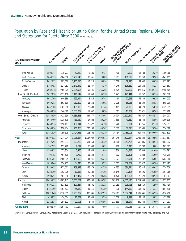#### Population by Race and Hispanic or Latino Origin, for the United States, Regions, Divisions, and States, and for Puerto Rico: 2000 *(continued)*

|                                              |            |                  | <b>PATRICAL AVENUE</b> |           | <b>PARKER AND ANNIVER</b> | · PRODUCE HANDWATCLE |                |           | I WOORMORE RACES     | I DOMESTIC OR LATING<br><b>MATHEMATICAL ARTISTS</b> |
|----------------------------------------------|------------|------------------|------------------------|-----------|---------------------------|----------------------|----------------|-----------|----------------------|-----------------------------------------------------|
| <b>U.S. REGION/DIVISION/</b><br><b>STATE</b> |            | TOTAL POPULATION |                        |           |                           |                      | Someonica RACE |           |                      |                                                     |
|                                              |            |                  |                        |           |                           |                      |                |           |                      |                                                     |
| West Virginia                                | 1,808,344  | 1,718,777        | 57,232                 | 3,606     | 9,434                     | 400                  | 3,107          | 15,788    | 12,279               | 1,709,966                                           |
| North Carolina                               | 8,049,313  | 5,804,656        | 1,737,545              | 99,551    | 113,689                   | 3,983                | 186,629        | 103,260   | 378,963              | 5,647,155                                           |
| South Carolina                               | 4,012,012  | 2,695,560        | 1,185,216              | 13,718    | 36,014                    | 1,628                | 39,926         | 39,950    | 95,076               | 2,652,291                                           |
| Georgia                                      | 8,186,453  | 5,327,281        | 2,349,542              | 21,737    | 173,170                   | 4,246                | 196,289        | 114,188   | 435,227              | 5,128,661                                           |
| Florida                                      | 15,982,378 | 12,465,029       | 2,335,505              | 53,541    | 266,256                   | 8,625                | 477,107        | 376,315   | 2,682,715            | 10,458,509                                          |
| <b>East South Central</b>                    | 17,022,810 | 13,113,106       | 3,418,542              | 57,850    | 136,378                   | 5,741                | 121,441        | 169,752   | 299,176              | 12,967,670                                          |
| Kentucky                                     | 4,041,769  | 3,640,889        | 295,994                | 8,616     | 29,744                    | 1,460                | 22,623         | 42,443    | 59,939               | 3,608,013                                           |
| Tennessee                                    | 5,689,283  | 4,563,310        | 932,809                | 15,152    | 56,662                    | 2,205                | 56,036         | 63,109    | 123,838              | 4,505,930                                           |
| Alabama                                      | 4,447,100  | 3,162,808        | 1,155,930              | 22,430    | 31,346                    | 1,409                | 28,998         | 44,179    | 75,830               | 3,125,819                                           |
| Mississippi                                  | 2,844,658  | 1,746,099        | 1,033,809              | 11,652    | 18,626                    | 667                  | 13,784         | 20,021    | 39,569               | 1,727,908                                           |
| <b>West South Central</b>                    | 31,444,850 | 22,422,698       | 4,536,428              | 434,877   | 684,064                   | 19,714               | 2,592,442      | 754,627   | 7,043,574            | 18,384,207                                          |
| Arkansas                                     | 2,673,400  | 2,138,598        | 418,950                | 17,808    | 20,220                    | 1,668                | 40,412         | 35,744    | 86,866               | 2,100,135                                           |
| Louisiana                                    | 4,468,976  | 2,856,161        | 1,451,944              | 25,477    | 54,758                    | 1,240                | 31,131         | 48,265    | 107,738              | 2,794,391                                           |
| Oklahoma                                     | 3,450,654  | 2,628,434        | 260,968                | 273,230   | 46,767                    | 2,372                | 82,898         | 155,985   | 179,304              | 2,556,368                                           |
| Texas                                        | 20,851,820 | 14,799,505       | 2,404,566              | 118,362   | 562,319                   | 14,434               | 2,438,001      | 514,633   | 6,669,666            | 10,933,313                                          |
| <b>WEST</b>                                  | 63,197,932 | 43,274,074       | 3,076,884              | 1,187,989 | 5,003,611                 | 304,246              | 7,622,844      | 2,728,284 | 15,340,503           | 36,911,587                                          |
| <b>Mountain</b>                              | 18,172,295 | 14,591,933       | 523,283                | 614,553   | 353,429                   | 38,508               | 1,541,704      | 508,885   | 3,543,573            | 12,883,812                                          |
| Montana                                      | 902,195    | 817,229          | 2,692                  | 56,068    | 4,691                     | 470                  | 5,315          | 15,730    | 18,081               | 807,823                                             |
| Idaho                                        | 1,293,953  | 1,177,304        | 5,456                  | 17,645    | 11,889                    | 1,308                | 54,742         | 25,609    | 101,690              | 1,139,291                                           |
| Wyoming                                      | 493,782    | 454,670          | 3,722                  | 11,133    | 2,771                     | 302                  | 12,301         | 8,883     | 31,669               | 438,799                                             |
| Colorado                                     | 4,301,261  | 3,560,005        | 165,063                | 44,241    | 95,213                    | 4,621                | 309,931        | 122,187   | 735,601              | 3,202,880                                           |
| New Mexico                                   | 1,819,046  | 1,214,253        | 34,343                 | 173,483   | 19,255                    | 1,503                | 309,882        | 66,327    | 765,386              | 813,495                                             |
| Arizona                                      | 5,130,632  | 3,873,611        | 158,873                | 255,879   | 92,236                    | 6,733                | 596,774        | 146,526   | 1,295,617            | 3,274,258                                           |
| Utah                                         | 2,233,169  | 1,992,975        | 17,657                 | 29,684    | 37,108                    | 15,145               | 93,405         | 47,195    | 201,559              | 1,904,265                                           |
| Nevada                                       | 1,998,257  | 1,501,886        | 135,477                | 26,420    | 90,266                    | 8,426                | 159,354        | 76,428    | 393,970              | 1,303,001                                           |
| <b>Pacific</b>                               | 45,025,637 | 28,682,141       | 2,553,601              | 573,436   | 4,650,182                 | 265,738              | 6,081,140      |           | 2,219,399 11,796,930 | 24,027,775                                          |
| Washington                                   | 5,894,121  | 4,821,823        | 190,267                | 93,301    | 322,335                   | 23,953               | 228,923        | 213,519   | 441,509              | 4,652,490                                           |
| Oregon                                       | 3,421,399  | 2,961,623        | 55,662                 | 45,211    | 101,350                   | 7,976                | 144,832        | 104,745   | 275,314              | 2,857,616                                           |
| California                                   | 33,871,648 | 20,170,059       | 2,263,882              | 333,346   | 3,697,513                 | 116,961              | 5,682,241      | 1,607,646 | 10,966,556           | 15,816,790                                          |
| Alaska                                       | 626,932    | 434,534          | 21,787                 | 98,043    | 25,116                    | 3,309                | 9,997          | 34,146    | 25,852               | 423,788                                             |
| Hawaii                                       | 1,211,537  | 294,102          | 22,003                 | 3,535     | 503,868                   | 113,539              | 15,147         | 259,343   | 87,699               | 277,091                                             |
| <b>PUERTO RICO</b>                           | 3,808,610  | 3,064,862        | 302,933                | 13,336    | 7,960                     | 1,093                | 260,011        | 158,415   | 3,762,746            | 33,966                                              |

Source: U.S. Census Bureau, Census 2000 Redistricting Data (P.L. 94-171) Summary File for states and Census 2000 Redistricting Summary File for Puerto Rico, Tables PL1 and PL2.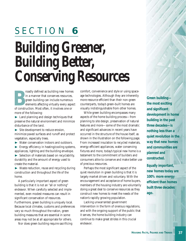# SECTION **6**

# **Building Greener, Building Better, Conserving Resources**

**B** of construction. Most often, it involves one or roadly defined as building new homes in a manner that conserves resources, green building can include numerous elements affecting virtually every aspect more of the following:

® Land planning and design techniques that preserve the natural environment and minimize disturbance of the land.

- ▶ Site development to reduce erosion, minimize paved surfaces and runoff and protect vegetation, especially trees.
- ® Water conservation indoors and outdoors.
- ® Energy efficiency in heating/cooling systems, appliances, lighting and the building envelope.

® Selection of materials based on recyclability, durability and the amount of energy used to create the material.

® Waste reduction, reuse and recycling during construction and throughout the life of the home.

A particularly important aspect of green building is that it is not an "all or nothing" endeavor. When carefully selected and implemented, even modest measures can result in significant conservation of resources. Furthermore, green building is uniquely local. Because local climates, customs and preferences vary so much throughout the nation, green building measures that are essential in some areas may not be at all appropriate for others.

Nor does green building require sacrificing

comfort, convenience and style or using spaceage technologies. Although they are inherently more resource efficient than their non-green counterparts, today's green-built homes are visually indistinguishable from other homes.

While green building encompasses many aspects of the home building process—from planning to site design, preservation of natural features and more—some of the most dramatic and significant advances in recent years have occurred in the structure of the house itself, as shown in the illustration on the following page. From increased insulation to recycled materials, energy-efficient appliances, water conserving fixtures and more, today's typical new home is a testament to the commitment of builders and consumers alike to conserve and make better use of precious resources.

Perhaps the most significant aspect of the quiet revolution in green building is that it is largely market driven and voluntary. With the encouragement and acceptance of home buyers, members of the housing industry are voluntarily doing a great deal to conserve resources as they construct new homes to meet the needs of the nation's rapidly growing population.

Lacking unwarranted government intervention in the form of onerous regulations, and with the ongoing support of the public that it serves, the home building industry can continue to make great strides in this crucial endeavor.

**Green building the most exciting and significant development in home building in the past three decades—is nothing less than a quiet revolution in the way that new homes and communities are planned and constructed.** 

**Equally important, new homes today are 100% more energy efficient than homes built three decades ago.**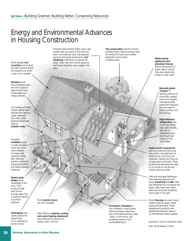#### **SECTION 6** Building Greener, Building Better, Conserving Resources

# Energy and Environmental Advances in Housing Construction

More durable **roof coverings** such as steel and fiber-cement reduce the frequency at which a new roof is needed.

**Windows** now

have insulating glass and low-E glass to keep homes more comfortable and energy efficient.

Vinyl siding and fibercement siding have reduced the need for cedar, redwood and other wood products historically used on **exterior walls**.

Increased **insulation** levels in walls and attics make the home more resistant to energy loss, lowering energy bills, reducing pollution related to energy production and saving precious resources.

**Passive solar design** takes advantage of the sun's "free" energy to help heat homes through glass that is oriented toward a southern exposure.

**Xeriscaping** uses native plants that require little to no watering by home owners.

Oriented Strand Board (OSB), which uses smaller trees and parts of the tree that were not previously used, has replaced plywood and board products for **roof sheathing**. OSB does not require the larger, older trees from which plywood and board sheathing were made in the past

**Tree preservation** around a home provides shade, reduces energy costs by cooling the home and creates residential communities of lasting value.

**Water-saving appliances and plumbing fixtures** reduce the amount of water used in homes. They also require less energy to heat water.

#### **Recycled plastic "lumber"** is

reducing reliance on chemically- treated wood and valuable naturally-durable woods like redwood that are used for decks, porches, trim and fencing.

**High-efficiency**

**refrigerators** use much less energy than older models, and rely on refrigerants that have much less impact on the ozone layer.

#### **Factory-built components**

such as trusses and pre-hung doors allow manufacturers to carefully plan how they use materials, making the most out of every piece of lumber. These components eliminate the need to cut wood on the job site, further reducing waste.

OSB and laminated fiberboard have replaced plywood and board **sheathing in walls**. OSB and fiberboard do not require the larger, older trees from which plywood and board sheathing were made in the past.

Wood **flooring** has been losing market share to carpet, sheet goods and laminates. These replacement products have significantly reduced reliance on diminishing lumber supplies.

Illustrations: Vitullo Architecture Studio

Data: NAHB Research Center

Most **exterior doors** are now insulated.

High efficiency **heating, cooling, and water heating equipment** have reduced the amount of energy used in homes.

#### **Foundation insulation** is

b

now installed in most homes, reducing energy losses from one of the last remaining major "sinks" in the home, and providing warmer, more comfortable floors.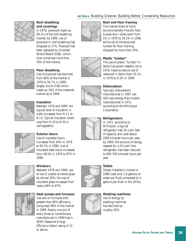#### **SECTION 6** Building Greener, Building Better, Conserving Resources



#### **Roof sheathing and coverings**

In 1978, plywood made up 89.1% of the roof sheathing market; by 1999, use of plywood in roof sheathing had dropped to 27%. Plywood has been replaced by Oriented Strand Board (OSB), which now comprises more than 70% of the market.



#### **Floor sheathing**

Use of plywood has declined, from 90% of the market in 1978 to 26.7% in 1999, largely due to OSB which made up 34% of the materials market as of 1999.



#### **Insulation**

Between 1978 and 1999, the typical level of insulation in walls increased from R-11 to R-13. Typical insulation levels rose from R-19 to R-30 in ceilings/attics.



#### **Exterior doors** Use of insulated doors

increased from 44% in 1978 to 85.2% in 1999. Use of insulated steel doors increased from 38.5% in 1978 to 87% in 1999.



#### **Windows**

Between 1978 and 1999, use of low-E coated windows grew by almost 30%; the use of insulated glass increased from nearly 68% to 87%.



#### **Heat pumps and furnaces**

Gas and oil furnaces with greater than 80% efficiency comprised 89% of the market in 1999. Nearly one out of every three air conditioners manufactured in 1999 had a SEER (Seasonal Energy Efficiency Ratio) rating of 12 or above.



#### **Roof and floor framing**

The market share of more environmentally friendly floor trusses and I-joists went from 2% in 1978 to 29.2% in 1999, while use of dimensioned lumber for floor framing dropped by more than 20%.



#### **Plastic "lumber"**

The use of plastic "lumber" in decks has grown steadily since 1978, helping reduce use of redwood in decks from 20.1% in 1978 to 6.3% in 1999.



#### **Dishwashers**

Typically, dishwashers manufactured in 1997 use 40% less energy than models manufactured in 1972, according to the Whirlpool Corporation.

#### **Refrigerators**

In 1972, according to Whirlpool, a typical refrigerator had 18 cubic feet of capacity and used about 2000 kilowatt hours per year; by 1999, the amount of energy needed for a 20 cubic foot refrigerator had been reduced to 600-700 kilowatt hours per year.



#### **Toilets**

Toilets installed in homes in 1999 used only 1.6 gallons of water per flush,compared to 4 gallons per flush in the 1970s.



#### **Washing machines** Use of energy by washing machines

has declined by roughly 45%.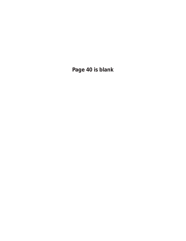**Page 40 is blank**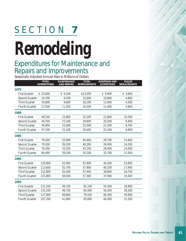# SECTION **7**

# **Remodeling**

### Expenditures for Maintenance and Repairs and Improvements

*Seasonally Adjusted Annual Rate in Millions of Dollars*

|                      | <b>TOTAL</b><br><b>EXPENDITURES</b> | <b>MAINTENANCE</b><br><b>AND REPAIRS</b> | <b>TOTAL</b><br><b>IMPROVEMENTS</b> | <b>ADDITIONS AND</b><br><b>ALTERATIONS</b> | <b>MAJOR</b><br><b>REPLACEMENTS</b> |
|----------------------|-------------------------------------|------------------------------------------|-------------------------------------|--------------------------------------------|-------------------------------------|
| 1975                 |                                     |                                          |                                     |                                            |                                     |
| <b>First Quarter</b> | \$22,600                            | \$9,100                                  | \$13,500                            | \$9,900                                    | \$3,600                             |
| Second Quarter       | 24,700                              | 9,100                                    | 15,600                              | 10,800                                     | 4,800                               |
| Third Quarter        | 25,800                              | 9,600                                    | 16,100                              | 11,600                                     | 4,500                               |
| Fourth Quarter       | 27,500                              | 11,200                                   | 16,200                              | 11,400                                     | 4,800                               |
| 1980                 |                                     |                                          |                                     |                                            |                                     |
| <b>First Quarter</b> | 48,100                              | 15,800                                   | 32,300                              | 21,800                                     | 10,500                              |
| Second Quarter       | 44,700                              | 15,100                                   | 29,600                              | 20,200                                     | 9,400                               |
| Third Quarter        | 45,900                              | 15,000                                   | 31,000                              | 21,300                                     | 9,700                               |
| Fourth Quarter       | 47,100                              | 15,100                                   | 32,000                              | 22,100                                     | 9,900                               |
| 1985                 |                                     |                                          |                                     |                                            |                                     |
| <b>First Quarter</b> | 79,200                              | 33,900                                   | 45,400                              | 29,700                                     | 15,600                              |
| Second Quarter       | 79,500                              | 39,200                                   | 40,200                              | 26,000                                     | 14,200                              |
| Third Quarter        | 76,300                              | 33,200                                   | 43,100                              | 28,400                                     | 14,600                              |
| Fourth Quarter       | 94,400                              | 39,200                                   | 55,200                              | 33,700                                     | 21,500                              |
| 1990                 |                                     |                                          |                                     |                                            |                                     |
| <b>First Quarter</b> | 120,900                             | 52,900                                   | 67,900                              | 44,200                                     | 23,800                              |
| Second Quarter       | 113,600                             | 55,700                                   | 57,900                              | 40,100                                     | 17,900                              |
| Third Quarter        | 112,800                             | 55,400                                   | 57,400                              | 38,800                                     | 18,700                              |
| Fourth Quarter       | 115,800                             | 58,500                                   | 57,300                              | 37,900                                     | 19,400                              |
| 1995                 |                                     |                                          |                                     |                                            |                                     |
| <b>First Quarter</b> | 131,200                             | 49,100                                   | 82,100                              | 55,300                                     | 26,800                              |
| Second Quarter       | 133,200                             | 48,700                                   | 84,500                              | 56,200                                     | 28,300                              |
| Third Quarter        | 127,900                             | 48,800                                   | 79,100                              | 48,300                                     | 30,900                              |
| Fourth Quarter       | 107,200                             | 41,600                                   | 65,600                              | 44,300                                     | 21,200                              |
|                      |                                     |                                          |                                     |                                            |                                     |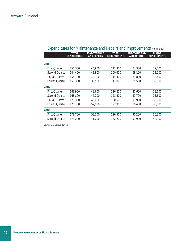#### Expenditures for Maintenance and Repairs and Improvements *(continued)*

|                      | <b>TOTAL</b><br><b>EXPENDITURES</b> | <b>MAINTENANCE</b><br><b>AND REPAIRS</b> | <b>TOTAL</b><br><b>IMPROVEMENTS</b> | <b>ADDITIONS AND</b><br><b>ALTERATIONS</b> | <b>MAJOR</b><br><b>REPLACEMENTS</b> |
|----------------------|-------------------------------------|------------------------------------------|-------------------------------------|--------------------------------------------|-------------------------------------|
|                      |                                     |                                          |                                     |                                            |                                     |
| 2000                 |                                     |                                          |                                     |                                            |                                     |
| <b>First Quarter</b> | 156,300                             | 44,900                                   | 111,400                             | 74,300                                     | 37,100                              |
| Second Quarter       | 144,400                             | 43,800                                   | 100,600                             | 68,100                                     | 32,500                              |
| Third Quarter        | 156,700                             | 42,300                                   | 114,400                             | 83,800                                     | 30,600                              |
| Fourth Quarter       | 156,300                             | 38,500                                   | 117,800                             | 85,500                                     | 32,300                              |
| 2002                 |                                     |                                          |                                     |                                            |                                     |
| <b>First Quarter</b> | 169,900                             | 43,600                                   | 126,200                             | 87,600                                     | 38,600                              |
| Second Quarter       | 168,800                             | 47,200                                   | 121,500                             | 87,700                                     | 33,800                              |
| Third Quarter        | 175,300                             | 45,000                                   | 130.500                             | 91,900                                     | 38,600                              |
| Fourth Quarter       | 175,700                             | 52,800                                   | 122,900                             | 86,400                                     | 36,500                              |
| 2003                 |                                     |                                          |                                     |                                            |                                     |
| <b>First Quarter</b> | 179,700                             | 53,200                                   | 126,500                             | 90,200                                     | 36,300                              |
| Second Quarter       | 173,200                             | 41,000                                   | 132,200                             | 91,900                                     | 40,300                              |

Source: U.S. Census Bureau.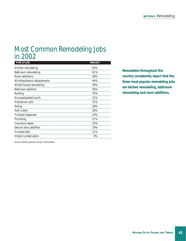# Most Common Remodeling Jobs in 2002

| <b>TYPE OF JOB</b>         | <b>PERCENT</b> |
|----------------------------|----------------|
| Kitchen remodeling         | 63%            |
| Bathroom remodeling        | 61%            |
| Room additions             | 58%            |
| Windows/doors replacements | 44%            |
| Whole house remodeling     | 38%            |
| Bathroom addition          | 36%            |
| Roofing                    | 32%            |
| Enclosed/added porch       | 31%            |
| Handyman jobs              | 31%            |
| Siding                     | 28%            |
| Add a deck                 | 26%            |
| Finished basement          | 24%            |
| Plumbing                   | 21%            |
| Insurance repair           | 20%            |
| Second story addition      | 19%            |
| Finished attic             | 11%            |
| Historic preservation      | 8%             |

**Remodelers throughout the country consistently report that the three most popular remodeling jobs are kitchen remodeling, bathroom remodeling and room additions.** 

Source: NAHB Quarterly Survey of Remodelers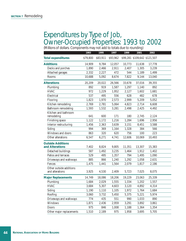# Expenditures by Type of Job, Owner-Occupied Properties: 1993 to 2002

*(Millions of dollars. Components may not add to totals due to rounding)*

|                                            | 1993     | 1995     | 1997     | 1999   | 2001                         | 2002   |  |
|--------------------------------------------|----------|----------|----------|--------|------------------------------|--------|--|
| <b>Total expenditures</b>                  | \$79,800 | \$83,911 | \$93,962 |        | \$99,281 \$109,642 \$121,507 |        |  |
| <b>Additions</b>                           | 14,909   | 9,784    | 12,057   | 10,773 | 11,638                       | 17,778 |  |
| Decks and porches                          | 1,890    | 2,466    | 2,911    | 2,407  | 1,305                        | 3,239  |  |
| Attached garages                           | 2,332    | 2,227    | 472      | 544    | 1,189                        | 1,499  |  |
| Rooms                                      | 10,688   | 5,092    | 8,674    | 7,822  | 9,144                        | 13,040 |  |
| <b>Alterations</b>                         | 20,209   | 20,022   | 26,566   | 33,678 | 37,016                       | 39,355 |  |
| Plumbing                                   | 892      | 919      | 1,587    | 1,297  | 1,140                        | 892    |  |
| <b>HVAC</b>                                | 972      | 1,229    | 1,952    | 2,127  | 1,602                        | 1,681  |  |
| Electrical                                 | 537      | 495      | 556      | 628    | 482                          | 678    |  |
| Flooring                                   | 1,823    | 1,970    | 2,573    | 2,999  | 5,209                        | 5,052  |  |
| Kitchen remodeling                         | 2,769    | 2,781    | 5,064    | 4,823  | 2,714                        | 6,608  |  |
| Bathroom remodeling                        | 1,593    | 1,532    | 3,281    | 2,498  | 2,425                        | 4,492  |  |
| Kitchen and bathroom<br>remodeling         | 641      | 600      | 171      | 180    | 2,745                        | 2,124  |  |
| Finishing space                            | 1,122    | 1,172    | 1,216    | 1,284  | 1,696                        | 2,956  |  |
| Interior restructuring                     | 1,456    | 2,363    | 3,639    | 3,151  | 8,451                        | 3,588  |  |
| Siding                                     | 994      | 369      | 1,164    | 1,328  | 384                          | 566    |  |
| Windows and doors                          | 863      | 320      | 620      | 756    | 100                          | 223    |  |
| Other alterations                          | 6,547    | 6,271    | 4,741    | 12,606 | 10,069                       | 10,493 |  |
| <b>Outside Additions</b>                   |          |          |          |        |                              |        |  |
| and Alterations                            | 7,402    | 8,824    | 9,805    | 11,351 | 13,307                       | 15,383 |  |
| Detached buildings                         | 587      | 1,492    | 3,235    | 1,464  | 1,912                        | 1,402  |  |
| Patios and terraces                        | 529      | 495      | 1,357    | 794    | 1,495                        | 1,090  |  |
| Driveways and walkways                     | 885      | 866      | 1,240    | 1,292  | 1,058                        | 2,631  |  |
| Fences                                     | 1,475    | 1,441    | 1,564    | 2,079  | 1,817                        | 2,186  |  |
| Other outside additions<br>and alterations | 3,925    | 4,530    | 2,409    | 5,723  | 7,025                        | 8,075  |  |
| <b>Major Replacements</b>                  | 14,749   | 18,086   | 18,206   | 19,229 | 23,063                       | 25,339 |  |
| Plumbing                                   | 1,684    | 2,029    | 1,555    | 1,334  | 1,202                        | 1,557  |  |
| <b>HVAC</b>                                | 3,684    | 5,307    | 4,603    | 3,120  | 4,892                        | 4,314  |  |
| Siding                                     | 1,190    | 1,110    | 1,105    | 1,972  | 1,764                        | 1,684  |  |
| Roofing                                    | 3,060    | 3,732    | 5,450    | 5,375  | 5,221                        | 5,974  |  |
| Driveways and walkways                     | 774      | 435      | 551      | 990    | 1,033                        | 890    |  |
| Windows                                    | 1,871    | 2,436    | 2,959    | 3,291  | 3,892                        | 3,861  |  |
| Doors                                      | 975      | 846      | 1,008    | 1,188  | 1,364                        | 1,354  |  |
| Other major replacements                   | 1,510    | 2,189    | 975      | 1,958  | 3,695                        | 5,705  |  |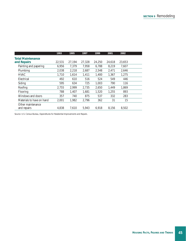|                                  | 1993   | 1995   | 1997   | 1999   | 2001   | 2002   |  |
|----------------------------------|--------|--------|--------|--------|--------|--------|--|
| <b>Total Maintenance</b>         |        |        |        |        |        |        |  |
| and Repairs                      | 22,531 | 27,194 | 27,328 | 24.250 | 24,618 | 23,653 |  |
| Painting and papering            | 6.956  | 7.379  | 7.958  | 6.788  | 8,219  | 7.607  |  |
| Plumbing                         | 2,038  | 2,218  | 2.687  | 2,548  | 2,471  | 2,646  |  |
| <b>HVAC</b>                      | 1,710  | 1,614  | 1,411  | 1,400  | 1,367  | 1,275  |  |
| Electrical                       | 492    | 610    | 516    | 524    | 549    | 446    |  |
| Siding                           | 595    | 634    | 725    | 1,003  | 790    | 116    |  |
| Roofing                          | 2,755  | 2,999  | 2,735  | 2,650  | 1,449  | 1,869  |  |
| Flooring                         | 788    | 1,407  | 1,681  | 1,520  | 1,255  | 893    |  |
| Windows and doors                | 357    | 740    | 875    | 537    | 332    | 283    |  |
| Materials to have on hand        | 2.001  | 1,982  | 2.796  | 362    | 31     | 15     |  |
| Other maintenance<br>and repairs | 4,838  | 7,610  | 5.943  | 6.918  | 8.156  | 8,502  |  |
|                                  |        |        |        |        |        |        |  |

Source: U.S. Census Bureau, Expenditures for Residential Improvements and Repairs.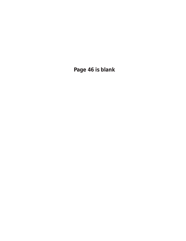**Page 46 is blank**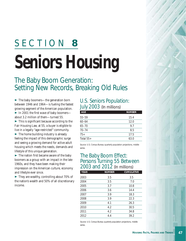# SECTION **8 Seniors Housing**

# The Baby Boom Generation: Setting New Records, Breaking Old Rules

► The baby boomers—the generation born between 1946 and 1964—is fueling the fastest growing segment of the American population.

® In 2001 the first wave of baby boomers about 3.2 million of them—turned 55.

® This is significant because according to the Fair Housing Law, at 55, a buyer is eligible to live in a legally "age-restricted" community.

 $\blacktriangleright$  The home building industry is already feeling the impact of this demographic surge and seeing a growing demand for active adult housing which meets the needs, demands and lifestyle of this unique generation.

▶ The nation first became aware of the baby boomers as a group with an impact in the late 1960s, and they have been making their impression on the American culture, economy and lifestyle ever since.

▶ They are wealthy, controlling about 70% of the nation's wealth and 50% of all discretionary income.

### U.S. Seniors Population: July 2003 *(In millions)*

| <b>AGE</b>  | <b>NUMBER</b> |
|-------------|---------------|
| $55 - 59$   | 15.4          |
| $60 - 64$   | 12.0          |
| $65 - 70$   | 9.7           |
| $70 - 74$   | 8.5           |
| $75+$       | 17.5          |
| Total $55+$ | 63.0          |

Source: U.S. Census Bureau quarterly population projections, middle series.

#### The Baby Boom Effect: Persons Turning 55 Between 2003 and 2012 *(In millions)*

| <b>YEAR</b> | <b>NUMBER</b> | <b>CUMULATIVE</b> |
|-------------|---------------|-------------------|
| 2003        | 3.5           | 3.5               |
| 2004        | 3.5           | 7.0               |
| 2005        | 3.7           | 10.8              |
| 2006        | 3.6           | 14.4              |
| 2007        | 3.9           | 18.3              |
| 2008        | 3.9           | 22.3              |
| 2009        | 4.1           | 26.3              |
| 2010        | 4.2           | 30.5              |
| 2011        | 4.2           | 34.8              |
| 2012        | 4.4           | 39.2              |

Source: U.S. Census Bureau quarterly population projections, middle series.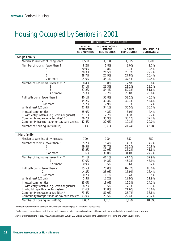# Housing Occupied by Seniors in 2001

|                                               |                                                    | HOUSEHOLDS AGE 55 OR OLDER                               |                                       |                                          |  |
|-----------------------------------------------|----------------------------------------------------|----------------------------------------------------------|---------------------------------------|------------------------------------------|--|
|                                               | IN AGE-<br><b>RESTRICTED</b><br><b>COMMUNITIES</b> | IN UNRESTRICTED*<br><b>SENIORS</b><br><b>COMMUNITIES</b> | <b>IN OTHER</b><br><b>COMMUNITIES</b> | <b>HOUSEHOLDS</b><br><b>UNDER AGE 55</b> |  |
| I. Single-Family                              |                                                    |                                                          |                                       |                                          |  |
| Median square feet of living space            | 1,500                                              | 1,700                                                    | 1,725                                 | 1,700                                    |  |
| Number of rooms: fewer than 4                 | 8.2%                                               | 1.8%                                                     | 2.0%                                  | 2.7%                                     |  |
| 4                                             | 20.9%                                              | 9.8%                                                     | 9.1%                                  | 9.4%                                     |  |
| $\mathbf 5$                                   | 28.3%                                              | 26.5%                                                    | 23.7%                                 | 22.2%                                    |  |
| 6                                             | 28.7%                                              | 27.9%                                                    | 27.8%                                 | 26.4%                                    |  |
| 7 or more                                     | 14.0%                                              | 34.1%                                                    | 37.4%                                 | 39.4%                                    |  |
| Number of bedrooms: fewer than 2              | 10.4%                                              | 3.0%                                                     | 2.9%                                  | 3.6%                                     |  |
| 2                                             | 57.1%                                              | 23.3%                                                    | 21.1%                                 | 18.1%                                    |  |
| 3                                             | 27.2%                                              | 54.4%                                                    | 52.3%                                 | 51.6%                                    |  |
| 4 or more                                     | 5.3%                                               | 19.2%                                                    | 23.8%                                 | 26.6%                                    |  |
| Full bathrooms: fewer than 2                  | 40.1%                                              | 52.8%                                                    | 52.2%                                 | 46.2%                                    |  |
|                                               | 54.2%                                              | 39.3%                                                    | 39.1%                                 | 44.6%                                    |  |
| 3 or more                                     | 5.7%                                               | 7.9%                                                     | 8.7%                                  | 9.2%                                     |  |
| With at least 1/2 bath                        | 22.8%                                              | 34.1%                                                    | 36.5%                                 | 36.1%                                    |  |
| In gated communities                          | 25.9%                                              | 4.3%                                                     | 3.0%                                  | 4.4%                                     |  |
| with entry systems (e.g., cards or guards)    | 21.1%                                              | 2.2%                                                     | 1.3%                                  | 2.2%                                     |  |
| Community recreational facilities**           | 76.7%                                              | 35.9%                                                    | 30.1%                                 | 32.2%                                    |  |
| Community transportation or day care services | 42.4%                                              | 22.6%                                                    | 19.1%                                 | 20.0%                                    |  |
| Number of housing units (000s)                | 713                                                | 6,303                                                    | 20,240                                | 47,280                                   |  |
| <b>II. Multifamily</b>                        |                                                    |                                                          |                                       |                                          |  |
|                                               | 700                                                | 900                                                      | 850                                   | 850                                      |  |
| Median square feet of living space            |                                                    |                                                          |                                       |                                          |  |
| Number of rooms: fewer than 3                 | 5.7%                                               | 5.4%                                                     | 4.7%                                  | 4.7%                                     |  |
| 3                                             | 59.5%                                              | 33.7%                                                    | 29.1%                                 | 25.8%                                    |  |
| 4<br>5 or more                                | 23.2%<br>11.6%                                     | 30.9%<br>30.0%                                           | 35.2%<br>31.0%                        | 41.8%<br>27.7%                           |  |
|                                               |                                                    |                                                          |                                       |                                          |  |
| Number of bedrooms: fewer than 2              | 72.1%                                              | 46.1%                                                    | 41.1%                                 | 37.9%                                    |  |
| 2                                             | 27.0%                                              | 44.3%                                                    | 45.3%                                 | 48.9%                                    |  |
| 3 or more                                     | 0.9%                                               | 9.5%                                                     | 13.6%                                 | 13.2%                                    |  |
| Full bathrooms: fewer than 2                  | 85.5%                                              | 75.0%                                                    | 82.7%                                 | 83.0%                                    |  |
| 2                                             | 14.3%                                              | 23.9%                                                    | 16.9%                                 | 16.4%                                    |  |
| 3 or more                                     | 0.2%                                               | 1.1%                                                     | 0.4%                                  | 0.5%                                     |  |
| With at least 1/2 bath                        | 5.3%                                               | 12.2%                                                    | 12.9%                                 | 11.9%                                    |  |
| In gated communities                          | 25.0%                                              | 13.9%                                                    | 12.3%                                 | 14.1%                                    |  |
| with entry systems (e.g., cards or guards)    | 18.7%                                              | 9.5%                                                     | 7.1%                                  | 9.3%                                     |  |
| In a building with an entry system            | 57.6%                                              | 34.8%                                                    | 21.6%                                 | 18.6%                                    |  |
| Community recreational facilities**           | 73.4%                                              | 51.0%                                                    | 35.7%                                 | 36.8%                                    |  |
| Community transportation or day care services | 53.0%                                              | 29.5%                                                    | 22.4%                                 | 20.2%                                    |  |
| Number of housing units (000s)                | 1,087                                              | 1,281                                                    | 3,859                                 | 18,390                                   |  |

\*Includes naturally occurring seniors communities and those designed for seniors but not restricted.

\*\*Includes any combination of the following: walking/jogging trails, community center or clubhouse, golf course, and private or restricted access beaches.

Source: NAHB tabulations of the 2001 *American Housing Survey*, U.S. Census Bureau and the Department of Housing and Urban Development.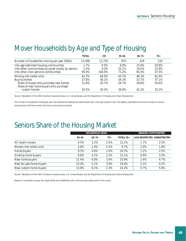# Mover Households by Age and Type of Housing

|                                                   | <b>TOTAL</b> | < 55    | $55 - 64$ | $65 - 74$ | $75+$ |
|---------------------------------------------------|--------------|---------|-----------|-----------|-------|
| Number of households moving per year (000s)       | 13,368       | 11.735  | 870       | 429       | 334   |
| Into age-restricted housing communities           | 1.7%         | $0.0\%$ | 6.8%      | 15.6%     | 29.8% |
| Into other communities occupied mostly by seniors | 2.5%         | $0.0\%$ | 20.1%     | 19.0%     | 22.8% |
| Into other (non-seniors) communities              | 95.8%        | 100.0%  | 73.2%     | 65.4%     | 47.5% |
| Moving into rental units                          | 62.2%        | 64.0%   | 45.7%     | 46.3%     | 62.9% |
| Buying homes                                      | 37.8%        | 36.1%   | 54.3%     | 53.7%     | 37.1% |
| Share of buyers who purchase new homes            | 21.8%        | 20.7%   | 26.7%     | 28.8%     | 30.6% |
| Share of new home buyers who purchase             |              |         |           |           |       |
| custom homes                                      | 30.5%        | 29.2%   | 36.8%     | 41.2%     | 20.2% |

Source: Tabulations of the 2001 *American Housing Survey*, U.S. Census Bureau and the Department of Housing and Urban Development.

The number of households moving per year was obtained by dividing the total movers over a two-year period in half. This slightly understates the annual number of movers, because some will have moved more than once during the period.

# Seniors Share of the Housing Market

|                          |           | <b>HOUSEHOLD HEAD</b> |       | <b>SENIORS COMMUNITIES</b> |                             |      |  |
|--------------------------|-----------|-----------------------|-------|----------------------------|-----------------------------|------|--|
|                          | $55 - 64$ | $65 - 74$             | $75+$ | TOTAL 55+                  | AGE-RESTRICTED UNRESTRICTED |      |  |
| All recent movers        | 6.5%      | 3.2%                  | 2.5%  | 12.2%                      | 1.7%                        | 2.5% |  |
| Movers into rental units | 4.8%      | 2.4%                  | 2.5%  | $9.7\%$                    | 2.0%                        | 1.8% |  |
| Home buyers              | 9.3%      | 4.6%                  | 2.4%  | 16.3%                      | 1.2%                        | 2.5% |  |
| Existing home buyers     | 8.8%      | 4.1%                  | 2.2%  | 15.1%                      | 0.9%                        | 3.5% |  |
| New home buyers          | 11.4%     | $6.0\%$               | 3.4%  | 20.9%                      | 2.4%                        | 4.7% |  |
| New for-sale home buyers | 10.4%     | 5.1%                  | 3.9%  | 19.4%                      | 3.1%                        | 4.2% |  |
| New custom home buyers   | 13.8%     | 8.1%                  | 2.3%  | 24.2%                      | 0.7%                        | 5.8% |  |

Source: Tabulations of the 2001 *American Housing Survey*, U.S. Census Bureau and the Department of Housing and Urban Development.

Based on households moving into single-family and multifamily units in the two-year period prior to the survey.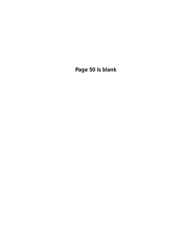**Page 50 is blank**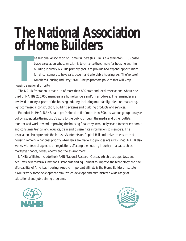# **The National Association of Home Builders**

**T**<br>housing a nati he National Association of Home Builders (NAHB) is a Washington, D.C.-based trade association whose mission is to enhance the climate for housing and the building industry. NAHB's primary goal is to provide and expand opportunities for all consumers to have safe, decent and affordable housing. As "The Voice of America's Housing Industry," NAHB helps promote policies that will keep housing a national priority.

The NAHB federation is made up of more than 800 state and local associations. About onethird of NAHB's 215,000 members are home builders and/or remodelers. The remainder are involved in many aspects of the housing industry, including multifamily, sales and marketing, light commercial construction, building systems and building products and services.

Founded in 1942, NAHB has a professional staff of more than 300. Its various groups analyze policy issues, take the industry's story to the public through the media and other outlets, monitor and work toward improving the housing finance system, analyze and forecast economic and consumer trends, and educate, train and disseminate information to members. The association also represents the industry's interests on Capitol Hill and strives to ensure that housing remains a national priority when laws are made and policies are established. NAHB also works with federal agencies on regulations affecting the housing industry in areas such as mortgage finance, codes, energy and the environment.

NAHB's affiliates include the NAHB National Research Center, which develops, tests and evaluates new materials, methods, standards and equipment to improve the technology and the affordability of America's housing. Another important affiliate is the Home Builders Institute, NAHB's work force development arm, which develops and administers a wide range of educational and job training programs.